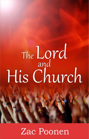# The Lord<br>His Church

Zac Poonen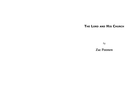# **The Lord and His Church**

*by*

**Zac Poonen**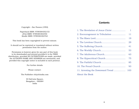# Copyright – Zac Poonen (1992)

Paperback ISBN: 9789384302153 ePub ISBN: 9789384302450 Kindle ISBN: 9789384302764

This book has been copyrighted to prevent misuse.

It should not be reprinted or translated without written permission from the author.

Permission is however given for any part of this book to be downloaded and printed provided it is for FREE distribution, provided NO ALTERATIONS are made, provided the AUTHOR'S NAME AND ADDRESS are mentioned, and provided this copyright notice is included in each printout.

For further details

Please contact:

The Publisher cfc@cfcindia.com

40 DaCosta Square, Bangalore – 560084 India

# **Contents**

<span id="page-2-11"></span><span id="page-2-10"></span><span id="page-2-9"></span><span id="page-2-8"></span><span id="page-2-7"></span><span id="page-2-6"></span><span id="page-2-5"></span><span id="page-2-4"></span><span id="page-2-3"></span><span id="page-2-2"></span><span id="page-2-1"></span><span id="page-2-0"></span>

|                | $\mathbf{1}$ |
|----------------|--------------|
|                | 11           |
|                | 19           |
|                | 29           |
|                | 41           |
|                | 53           |
|                | 63           |
|                | 75           |
|                | 85           |
|                | 93           |
|                | 103          |
| About the Book |              |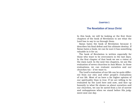#### <span id="page-3-0"></span>**[Chapter 1](#page-2-0)**

# **[The Revelation of Jesus Christ](#page-2-0)**

In this book, we will be looking at the first three chapters of the book of Revelation to see what the Lord has to say to us through them.

Satan hates the book of Revelation because it describes his final defeat and his ultimate destiny. If Satan hates a book, we can be sure it has something valuable in it for us.

The book of Revelation is written especially for those who want to be overcomers in the last days. In the first chapter of that book we see a vision of the risen Lord. In the next two chapters, we see His evaluation of seven churches in Asia Minor. In those evaluations, we can evaluate ourselves and our churches too – if we want to.

The Lord's evaluation of our life can be quite different from our own and other people's evaluations of our life. Most of us have a far higher opinion of our spirituality than is true. If we are willing to be evaluated by the Lord here and now, and face up honestly to what He shows us about ourselves and our churches, we can be saved from a lot of sorrow and unhappiness when we stand before His judgment-seat one day.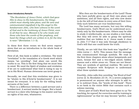#### **Seven Introductory Remarks**

*"The Revelation of Jesus Christ, which God gave Him to show to His bondservants, the things which must shortly take place; and He sent and communicated (signified) it by His angel to His bondservant John, who bore witness to the word of God and to the testimony of Jesus Christ, even to all that he saw. Blessed is he who reads and those who hear the words of the prophecy, and heed the things which are written in it; for the time is near."* (Revelation 1:1–3).

In these first three verses we find seven expressions that are an introduction to the whole book of Revelation.

First of all, this book is called a revelation. The word "revelation" is the translation of a Greek word which means "an unveiling". God alone can unveil His truths to us. This is the first thing that we must bear in mind. We need the Spirit of wisdom and revelation if we are to understand what God is trying to say to us in His Word. Human cleverness can never grasp it.

Secondly, we read that this revelation was given to be "shown to His (Christ's) bondservants". It is not meant for everyone. It is only for the willing bondservants of the Lord.

There is a difference between a paid servant and a bondservant. A servant works for wages. But a bondservant is a slave who belongs to his master and has no rights of his own, whatsoever.

Who then are the bondservants of the Lord? Those who have joyfully given up all their own plans and ambitions, and all their rights, and who now desire to do the will of God alone in every area of their lives. Only such believers are true bondservants.

The Lord has many servants, but very few willing bondservants. God's Word can be understood accurately only by His bondservants. Others may be able to study it intellectually, as one studies a text-book. But they will never be able to grasp the spiritual realities that are hidden in it. Jesus made it clear in *John 7:17* that it was only through obedience to God's will that one could know the truth.

Thirdly, we are told that this book was "signified" to John (*verse 1* - KJV). This means that the message was communicated through symbols. We read in the first three chapters alone about lampstands and stars, bronze feet and a two-edged sword, hidden manna and a white stone etc. These are not literal. They are symbols of spiritual realities. We need to compare Scripture with Scripture to understand what these symbols mean.

Fourthly, John calls this unveiling "the Word of God" (*verse 2*). In *Revelation 22:18, 19*, a severe judgment is pronounced on anyone who attempts to add to, or to subtract from, the "words of this book". There is no book in the entire Bible that contains such a solemn warning.

Every part of God's Word has been given to us "for teaching, for reproof, for correction and for training in righteousness" so that we may become "perfect, and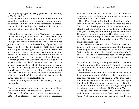thoroughly equipped for every good work" (*2 Timothy 3:16, 17* - KJV).

The three chapters of the book of Revelation that we will be looking at, have also been given to make us perfect. Only those who are interested in perfection in their life will get the maximum benefit from the study of any part of God's Word.

Fifthly, this revelation is the "testimony of Jesus Christ" (*verse 2*). In *Revelation 19:10*, we are told that "the testimony of Jesus is the spirit of prophecy". True prophecy will always point to the Lord and not just to events. A true understanding of prophecy will humble us before the Lord and not make us proud of our imagined knowledge of coming events. Even if we are mistaken about the correct sequence of various events in the coming days, if we are not mistaken in our knowledge of the Lord, we would have done well.

Although this revelation unveils "the things which must shortly take place" (*verse 1*), yet that is not its primary purpose. It is called "the testimony of Jesus Christ". It has been given, not to give us a detailed knowledge of future events, but to show us that the Lord Jesus is in control of those future events. It is the triumph of the Lord that we see primarily throughout the book of Revelation.

Let us "fix our eyes on Jesus" then as we go through this study.

Sixthly, a blessing is promised on those who "keep the things which are written in it" (*verse 3* - KJV). This last book of Scripture has been given to us to OBEY. It is blessed to obey any part of Scripture.

But the book of Revelation is the only book in which a specific blessing has been promised to those who obey what is written therein.

Even if we don't understand much of the symbolism in it, it will suffice if we obey what we read. There is no blessing promised to those who understand what the symbols mean or to those who can interpret the sequence of coming events accurately. Obedience means far more to God than mere intellectual understanding of His Word. Unfortunately, most believers value knowledge of the Word more than obedience to it.

The food we eat is converted into flesh and blood and bone, even if we don't understand how that happens. It is enough if our digestive system is working properly. So too in the spiritual realm. Knowledge without obedience to God, is like undigested food. It brings death instead of life. Knowledge plus obedience brings life.

Seventhly, a blessing is also promised on those who "read the words of this prophecy" (*verse 3*) – referring to those who read it aloud publicly and teach it to other believers.

Remember that individual copies of the book of Revelation were not available to believers in the first century. The only way one could hear the message of the book was when it was read out in the meetings of the church. This was why Paul encouraged Timothy to "give attention to the public reading of Scripture, to exhortation and teaching." (*1 Timothy 4:13*).

The application for us today is that we should share with others what we receive from God through His Word. A blessing is promised here to all who do this.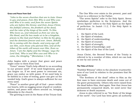#### **Grace and Peace from God**

*"John to the seven churches that are in Asia: Grace to you and peace, from Him Who is and Who was and Who is to come; and from the seven Spirits who are before His throne; and from Jesus Christ, the faithful witness, the firstborn of the dead, and the ruler of the kings of the earth. To Him Who loves us, and released us from our sins by His blood, and He has made us to be a kingdom, priests to His God and Father; to Him be the glory and the dominion forever and ever. Amen. Behold, He is coming with the clouds, and every eye will see Him, even those who pierced Him; and all the tribes of the earth will mourn over Him. Even so. Amen. 'I am the Alpha and the Omega,' says the Lord God, 'Who is and Who was and Who is to come, the Almighty.'"* (Revelation 1:4–8).

John begins with a prayer that grace and peace might come to them from God.

"Grace" means "God's help offered to us according to our present need". If we need forgiveness, grace can forgive us. If we need power to overcome sin, grace can endue us with power. If we need help to be faithful in a time of testing, grace can give us the needed help. God's grace is always sufficient for our every need.

"Peace" is another great gift of God – peace within our hearts, with no nagging sense of guilt or condemnation; and peace with others around us, bringing fellowship in the church.

The greeting is sent in the Name of the Triune God.

The One Who ever exists in the present, past and future is a reference to the Father.

"The seven Spirits" refer to the Holy Spirit. Seven symbolises perfection in the Scriptures. And the "seven Spirits" refers to the Holy Spirit as the Spirit of perfection. In *Isaiah 11:2, 3* the Holy Spirit is referred to as:

- i. the Spirit of the Lord;
- ii. the Spirit of wisdom;
- iii. the Spirit of understanding;
- iv. the Spirit of counsel;
- v. the Spirit of strength;
- vi. the Spirit of knowledge; and
- vii. the Spirit of the fear of the Lord.

Jesus Christ, the Second Person of the Trinity is referred to by a number of titles, which we can look at one by one (*verse 5*).

#### **The Titles of Christ**

"Faithful Witness" refers to the absolute trustworthiness of our Lord in relation to the promises that He has made.

"The firstborn of the dead" refers to Him as the first man to have overcome death and come out of the grave permanently. Others who were raised from the dead before Him, died again. Now that Jesus has permanently conquered death, we need never fear sickness or death anymore.

Jesus is also referred to as "the Ruler of the kings of the earth". Our Lord has been given all authority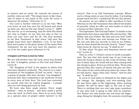in heaven and on earth. He controls the hearts of earthly rulers as well. "The king's heart is like channels of water in the hand of the Lord; He turns it wherever He wishes." (*Proverbs 21:1*).

Our Lord is further referred to as the One "Who ever loves us and has once for all loosed and freed us from our sins by His own blood" (*verse 5* - AMP). His love for us is everlasting. And He shed His blood not only to forgive us our sins but also to free us from our sins once and for all. The first promise in the New Testament is that Jesus "will save His people from their sins" (*Matthew 1:21*). To be freed from sin's power is the great theme of the entire New Testament. No sin can now have the mastery over us, if we live under grace (*Romans 6:14*).

#### **A Kingdom and Priests to God Our Father**

We are told further that the Lord Jesus has formed us into "a kingdom, priests to His God and Father" (*verse 6*).

The "kingdom of God" is the sphere in which God exercises absolute authority. The church is a representation of "the kingdom of God" on earth – that is, a group of people who have become "one kingdom", because they have submitted to the authority of God in every area of their lives. The Lord has converted an unruly mob into an orderly kingdom – a people who are now being governed by God.

We have also been made priests. Every single believer – man or woman – has been made a priest unto the Lord. In God's eyes, there is no such thing as a special class of people called "priests" in the church. That is an Old Testament concept. Where such a thing exists in any church today, it is leading people back into B.C. conditions!! We are ALL priests.

As priests, we are called to offer sacrifices to God. Whereas in the Old Testament they offered the bodies of animals, today we offer our own bodies to God as a living sacrifice (*Romans 12:1*).

The expression "His God and Father" is similar to the expression that Jesus used after His resurrection, "My Father and your Father, My God and your God" (*John 20:17*). His Father has now become our Father too. We can now find our security in God as our Father, just as Jesus found His security therein. "Amen", says John (*verse 6*). And we too say, "It shall be so".

To Him alone "be glory and dominion forever and ever" (*verse 6*).

Then in *verse 7*, Christ's return to earth is prophesied. The last that this world saw of our Lord was when He hung in shame on the cross of Calvary. But one of these days the world will see Him coming with the clouds in glory. Every eye will see Him. Those who pierced Him (the nation of Israel) will also see Him. The tribes of the earth will weep when He comes. But we will rejoice. Again John says "Amen". And we also say, "It shall be so!"

In *verse 8*, God refers to Himself as the Alpha and the Omega, the Almighty and ever-existing God. He was there right at the beginning, when nothing existed. He will be there right at the end of time. There is nothing that can ever take place anywhere at any time that is going to take God by surprise. Our Father not only knows the end from the beginning. Being the Almighty God, He controls everything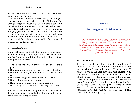as well. Therefore we need have no fear whatever concerning the future.

At the end of the book of Revelation, God is again referred to as the Almighty and the Alpha and the Omega (*chapters 19:6*; *22:13*). We could say that the whole book of Revelation is sandwiched between these two statements referring to the all-knowing, almighty power of our God and Father. This is what gives us perfect security, as we read in that book about the trials and tribulations that will befall God's people, and the calamities that will befall the world around us, in the last days.

#### **Seven Glorious Truths**

Some of the greatest truths that we need to be established in, during these days, are those concerning our Lord and our relationship with Him, that we have just considered:

- 1. The absolute trustworthiness of our Lord's promises;
- 2. His triumph over man's greatest enemy (death);
- 3. His total authority over everything in heaven and earth;
- 4. His everlasting and unchanging love for us;
- 5. His freeing us from sin's power;
- 6. His Father now being our Father too; and
- 7. His coming back to establish His kingdom on earth.

We need to be rooted and grounded in these truths if we are to remain steadfast and immovable in the times that are going to come.

#### <span id="page-8-0"></span>**[Chapter 2](#page-2-1)**

# **[Encouragement in Tribulation](#page-2-1)**

*"I, John, your brother and fellow-partaker in the tribulation and kingdom and perseverance which are in Jesus, was on the island called Patmos, because of the word of God and the testimony of Jesus. I was in the Spirit on the Lord's day, and I heard behind me a loud voice like the sound of a trumpet."*  (Revelation 1:9, 10).

#### **John Your Brother**

Here we read John calling himself "your brother". John was at that time the only living apostle of the twelve whom Jesus had chosen. He was about 95 years old when the Lord gave him this revelation on the island of Patmos. He had walked with God for about 65 years by then. But he was still a brother.

He wasn't Pope John or Reverend John. He was not even Pastor John! He was just an ordinary brother. Jesus had taught His disciples to avoid all titles and to refer to themselves always as only brothers (*Matthew 23:8–11*). And the apostles obeyed Him literally, unlike many today.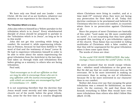We have only one Head and one Leader – even Christ. All the rest of us are brothers, whatever our ministry or our experience in the church may be.

#### **The Tribulation Which is in Jesus**

John also refers to himself as a "fellow-partaker in the tribulation which is in Jesus". Every wholehearted disciple of Jesus should be prepared to partake in the "tribulation which is in Jesus", as long as he is in this world.

John did not get this unveiling while living in comfort. He received it, while experiencing tribulation at Patmos, because he had been faithful to "the word of God and the testimony of Jesus" (*verse 9*). He had to experience tribulation himself in order to be able to write about the saints experiencing the great tribulation from the Antichrist in the last days. God takes us through trials and tribulations first before giving us a ministry to others who are facing tribulation.

Paul said,

*"God encourages us in all our affliction so that we may be able to encourage those who are in any affliction with the (same) encouragement with which we ourselves are encouraged by God"* (2 Corinthians 1:4 - AMP).

It is not surprising therefore that the doctrine that Jesus would come secretly and take (rapture) His church out of the world, before the great tribulation, arose for the first time in a country (England) where Christians were living in comfort, and at a time (mid-19<sup>th</sup> century) when they were not facing any persecution for their faith at all. Today this doctrine continues to be proclaimed and believed by Christians who live in ease and comfort, in countries where there is no persecution against Christians at all.

Since the prayers of most Christians are basically of this order: "Lord make my life more comfortable on earth", it is not surprising that they have gladly accepted this teaching of a pre-tribulation rapture of the church. Thus Satan has succeeded in lulling multitudes of Christians with a false comfort, so that they will be unprepared for the great tribulation when it does come upon them.

The words of Jesus are clear:

# *"In the world YOU HAVE TRIBULATION. But take courage; I have overcome the world"* (John 16:33).

He never promised that we would escape tribulation – whether small tribulations or the great one. But He did say that we could overcome even as He overcame. He is far more interested in making us overcomers than in saving us out of tribulation, because He is far more interested in our character than in our comfort.

Neither did Jesus ever say that escaping the great tribulation was a reward for faithfulness, as some teach. On the contrary, He said that those who forsook everything to follow Him would have even more tribulations than others who didn't follow Him (*Mark 10:30*).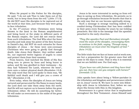When He prayed to His Father for His disciples, He said, "I do not ask Thee to take them out of the world, but to keep them from the evil." (*John 17:15*). He did NOT want His disciples to be raptured out of the world at that time, just because they were going to face tribulation.

In the 3rd-century when Christians were being thrown to the lions in the Roman amphitheatres and being burnt at the stake in different parts of the Roman empire, the Lord did not rescue them from such tribulations. The God Who shut the lions' mouths and took away the power of the fiery furnace in Daniel's day, did NOT do such miracles for these disciples of Jesus – for these were new-covenant Christians who were going to glorify God through death. Like Jesus their Master, they neither asked for, nor expected twelve legions of angels to come and protect them from their enemies.

From heaven, God watched the Bride of His Son being torn to pieces by lions and being burnt to ashes; and He was glorified in their testimony – for they had "followed the Lamb, wherever He went", even unto a violent physical death (*Revelation 14:4*). The only word that the Lord spoke to them was, "Be faithful until death and I will give you a crown of life." (*Revelation 2:10*).

Even today, when the disciples of Jesus are being tortured and persecuted for His Name in many lands, the Lord does not take them away from the earth. And He will not rapture us to heaven before the great tribulation either. He will do something far better. He will make us overcomers in the midst of the great tribulation.

Jesus is far more interested in saving us from evil than in saving us from tribulation. He permits us to go through tribulation because He knows that that is the only way that we can become spiritually strong.

Such a message is strange teaching indeed to a comfort-loving Christendom that has been coddled in their pews every Sunday for years by ear-tickling preachers. But this is the message that the apostles preached to the early churches.

*"They (the apostles Paul and Barnabas) strengthened the souls of the disciples, encouraging them to continue in the faith, saying, 'Through many tribulations we must enter the kingdom of God.'"* (Acts 14:22).

The little trials that we face at home and at work now, are but a preparation for the greater ones that will come in the days to come. That is why it is essential that we are faithful now. For God says,

*"If you have run with footmen and they have tired you out, then how can you compete with horses?"* (Jeremiah 12:5).

John speaks here about being a "fellow-partaker in the tribulation and kingdom and perseverance which are in Jesus" (*verse 9*). We have to enter into fellowship with Jesus in tribulation first, before we can share His throne with Him in His kingdom.

Perseverance is a great virtue that is emphasised throughout the New Testament. Jesus Himself said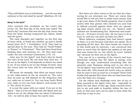"They will deliver you to tribulation … but the one who endures to the end shall be saved" (*Matthew 24:13*).

#### **Being "In the Spirit"**

John received this revelation on the Lord's day (*verse 10*). The first day of the week was called "the Lord's day" because that was the day that Jesus rose from the dead, having conquered sin, Satan, death and the grave.

The early disciples met together on the first day of every week, to build one another up and to break bread (*Acts 20:7*; *1 Corinthians 16:2*). They had no special days in the year. They had no "Good Friday" or "Easter" or "Christmas". They had been freed from keeping days and seasons etc., for they had come under the new covenant (*Colossians 2:16, 17*).

John was "in the Spirit" and that's why he heard the voice of the Lord. We can hear that voice too – if we are in the Spirit. It all depends on where our mind is set. If our mind is set on the things of earth, then the voices that we hear will be concerning earthly things.

We know, for example, that there are many voices in the radio-waves in the air around us. The voice that we pick up will depend on the frequency that our radio-set is tuned to. You can hear God's Word over radio or you can hear Satan's rock-music over it. The choice is yours.

It is just the same with our mind. If we are in the Spirit – that is if we are filled with the Spirit and our mind is set on the things that are above (*Colossians 3:2*) – we will be able to hear the Lord's voice.

But there are other voices in the air that are clamouring for our attention too. There are voices that would like to tell you how to make more money, how to get your share of the family property, how to settle scores with that person who cheated you and how to defend yourself against those who are spreading false stories about you etc., etc. Satan's radio stations are broadcasting lies, bitterness and anxieties etc., 24 hours of every day. All you have to do is tune in, and you can pick up what you like!!

When believers complain that God doesn't speak to them, it is not because God does not speak. He is speaking all the time. But their minds are tuned in to this world and its interests. I am convinced that there is much that the Spirit has spoken in the past that was meant for us, but which we never "picked up", because we were not in the Spirit.

You can sit in a meeting of the church and hear absolutely nothing that the Spirit is saying, even though you may understand everything that the preacher said. Someone sitting next to you who is "in the Spirit" may however hear the Lord's voice just like John did. John heard the Lord's voice so clearly that he says it was as loud as a trumpet! That's how loudly God speaks! But those who are deaf wont hear even the blast of a trumpet.

Let me exhort and challenge every one of you to keep yourself in the Spirit every day – especially in these the last days of this age. Keep yourself sensitive to sin and walk in humility before the face of God, so that your ears can be open to hear what the Lord has to say to you.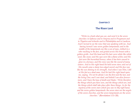#### <span id="page-12-0"></span>**[Chapter 3](#page-2-2)**

# **[The Risen Lord](#page-2-2)**

*"Write in a book what you see, and send it to the seven churches: to Ephesus and to Smyrna and to Pergamum and to Thyatira and toSardis and to Philadelphia and to Laodicea. And I turned to see the voice that was speaking with me. And having turned I saw seven golden lampstands; and in the middle of the lampstands one like a son of man, clothed in a robe reaching to the feet, and girded across His breast with a golden girdle. And His head and His hair were white like white wool, like snow; and His eyes were like a flame of fire; and His feet were like burnished bronze, when it has been caused to glow in a furnace, and His voice was like the sound of many waters. And in His right hand He held seven stars; and out of His mouth came a sharp two-edged sword; and His face was like the sun shining in its strength. And when I saw Him, I fell at His feet as a dead man. And He laid His right hand upon me, saying, 'Do not be afraid; I am the first and the last, and the living One; and I was dead, and behold I am alive forevermore, and I have the keys of death and Hades.' Write therefore the things which you have seen, and the things which are, and the things which shall take place after these things. As for the mystery of the seven stars which you saw in My right hand, and the seven golden lampstands: the seven stars are the angels of the seven churches, and the seven lampstands are the seven churches."* (Revelation 1:11–20)*.*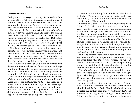#### **Seven Local Churches**

God gives us messages not only for ourselves but also for others. When God speaks to us, it is a good habit to write down what we hear, as John was commanded to do here (*verse 11*). He might otherwise have forgotten what God had spoken to him.

The message in this case was for the seven churches in Asia. What was known as Asia then is today a small part of Turkey. All these 7 churches were located within a radius of 75 miles of each other. But notice that even though they were so close to each other, they were still NOT collectively called "The CHURCH in Asia". They were called "The CHURCHES in Asia".

This is a small point but a very important one, nevertheless. "The church in Asia" would have meant that these churches had become a denomination with a central headquarters. But "The churches in Asia" indicate that each church was a local church directly under the headship of the Lord.

The church is a work of God, built by Christ. But denominations are the work of men. All the teachings and the writings of the apostles make it clear that the will of God is for each church to be directly under the headship of Christ, and not part of a denomination.

There was no bishop or superintendent in charge of these seven churches, to whom John could send these letters for distribution to the churches. Each letter had to be sent individually to the messenger of that church – for each church was an independent unit. The Lord had given apostles to the church. John himself was one of them. But the Lord had not appointed any bishops or superintendents.

There is no such thing, for example, as "The church in India". There are churches in India, and these are built by the Lord in different localities, each one directly under His headship.

Satan's final aim is to build his counterfeit world "church", Babylon. And his first step towards that goal was to group churches into denominations, many centuries ago. He knew that the task of building Babylon would have been impossible otherwise. We should not be ignorant of Satan's schemes.

The seven golden lampstands symbolise the seven churches (see *verse 20*). Under the old covenant, the temple had ONE seven-branched lampstand. This was because all the tribes of Israel were branches of one "denomination" with its central headquarters and leaders at Jerusalem.

But it is different under the new covenant. There are seven different lampstands, each completely separate from the other. The reason, as we saw above, was because each church was independently under the headship of Christ, although in fellowship with the other churches, through the Head.

The church being called a lampstand indicates that, in God's eyes, its primary function is to give light. The lampstands being golden indicate the Divine origin of a true church. It is built by the Lord and not by men.

A lampstand is not meant to be a mere decoration. Neither is a church! The light that every church should hold forth is God's Word, which alone is a light for our path in this dark world (*Psalm 119:105*). Instead of holding forth that light, when so-called "churches" begin to major on running schools and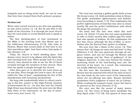hospitals and on doing social work, we can be sure that they have strayed from God's primary purpose.

#### **The Risen Lord**

When John turned around to see who was speaking, he saw Jesus (*verses 12, 13*). But he saw Him in the midst of the churches. It is through the local church that the Lord seeks to reveal Himself and to speak to others.

The first dwelling-place of God mentioned in the Bible is the burning bush that Moses saw in the wilderness (*Deuteronomy 33:16*). Like John at Patmos, Moses also turned aside at that time to see that marvellous sight. And that's when God spoke to him (*Exodus 3:3*).

Today the church is God's dwelling place. God desires every church to be aflame with His Spirit like that burning bush was. When people look at a local church, they should be able to see the life of Christ revealed through the members of that church. Then God can speak to people through the church.

John then goes on to describe the Lord Jesus as he saw Him. Even though the Lord is risen, He is still called the "Son of man", emphasising the fact of His identification with humanity permanently.

His long robe (undoubtedly white in colour) reaching to His feet, points to His High-Priestly ministry of intercession for us – for this was how the Jewish High-Priest was dressed when He went into the Most Holy Place of the tabernacle, on the day of atonement every year (*verse 13*).

The Lord was wearing a golden girdle (belt) across His breast (*verse 13*). Gold symbolises what is Divine. The girdle symbolises righteousness and faithfulness (according to *Isaiah 11:5*). This emphasises the perfect righteousness of God that was seen in Jesus' earthly life and the perfect faithfulness with which He keeps His promises to us.

His head and His hair were white like wool (*verse 14*). *Daniel 7:9* uses this very same symbolism to refer to God's eternity (His endless age).The white hair also speaks of wisdom. So this emphasises the fact that Jesus, although the Son of Man, is nevertheless also the Eternal God, perfect in wisdom.

His eyes were like a flame of fire (*verse 14*). That means that "all things are open and laid bare" to Him (*Hebrews 4:13*). His eyes penetrate through all religious veneer, and can see through the flowery and pious language and the "form of godliness" of the religious hypocrite. It also sees beyond the broken, stuttering words of the God-fearing soul into the sincerity of his heart. As a result, His evaluations are totally different from man's.

His feet were like burnished bronze (*verse 15*). Bronze was the material with which the altar of sacrifice was made (in the outer court of the tabernacle), where the sin-offering was slain. Bronze therefore symbolises God's judgment of man's sin at Calvary. While crushing the serpent's head, Jesus' feet had to be pierced on the cross (*Genesis 3:15*).

His voice was like the sound of many waters (*verse 15*). The rivers of living water symbolise the Holy Spirit (*John 7:37–39*). The speech of Jesus was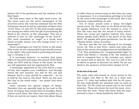always full of the gentleness and the wisdom of the Holy Spirit.

He held seven stars in His right hand (*verse 16*). The seven stars are the seven messengers of the churches (*verse 20*). God has ordained that the New Testament church be led by a plurality of elders (*Acts 14:23*; *Titus 1:5*; *Acts 20:17*). But God usually equips one among the elders with the gift of proclaiming the Word in the church, as His messenger. This one is referred to here as "the messenger of the church". (The word translated as "angel" is a Greek word which actually means "one who brings news" or "a messenger").

These messengers are held by Christ in His hand. That is why we are commanded to give double honour to the elders "who work hard at preaching and teaching" (*1 Timothy 5:17*).

It is necessary however, to mention that many elders of churches and many who preach God's Word today are NOT held by Christ in His hand, for they are self-appointed and not appointed by Him.

A messenger appointed by the Lord will be a man of God, who inspires your confidence, and through whose life and ministry you will be fed, led and blessed. Such a man should be respected – for he is held by the Lord in His hand. There are few men like that in the world today – but praise God there are a few.

God's servants are special targets of Satan. Therefore they are specially kept by the Lord in His hand. As long as they remain there in humility, Satan cannot touch them. But when they are puffed up, or if they sin and do not repent, then God allows Satan to inflict them in various ways so that they can come to repentance. It is a tremendous privilege to be held by the Lord as His messenger in His hand. But it has awesome responsibilities as well.

Out of Jesus' mouth came a sharp two-edged sword (*verse 16*). This refers to the Word of God that He speaks (*Hebrews 4:12*). We noticed in *verse 15* that His voice was like the sound of many waters. These two verses put together indicate that Jesus always speaks God's Word in the power of the Holy Spirit. He speaks with great gentleness, but He also rebukes firmly, where necessary.

His face was like the sun shining in its strength (*verse 16*). This is how Peter, James and John saw Him on the mount of transfiguration as well (*Matthew 17:2*). This symbolises the "unapproachable light" in which God dwells (*1 Timothy 6:16*). The holiness of God is compared here to the noonday sun, which we cannot look at directly. The sun is a ball of fire in which no germs or bacteria can dwell. No sin can dwell in the presence of God either (*Isaiah 33:14*).

#### **At the Feet of the Lord**

The same John who leaned on Jesus' breast at the last supper now falls at His feet as a dead man (*verse 17*). John had walked with God for 65 years. He was undoubtedly the saintliest man on earth at that time. Yet He could not stand erect in the Lord's presence. Those who know the Lord the most, reverence Him the most. Those who know Him the least, pretend to have a cheap familiarity with Him.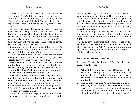The seraphs of heaven cover their faces before the Lord (*Isaiah 6:2, 3*). Job and Isaiah saw their sinfulness and mourned when they saw the glory of God (*Job 42:5, 6*; *Isaiah 6:5*). But "fools rush in where angels fear to tread" !! Such is the folly of the carnal believer.

The more we know the Lord, the more we will fall at His feet in adoring wonder, with our mouth in the dust. Only as we see the glory of the Lord constantly, will we see our own un-Christlikeness. Only then will we stop judging others and start judging ourselves. And only then will we experience His touch of power like John experienced at Patmos.

Jesus laid His right hand upon John (*verse 17*). This symbolised endowment with power and authority. He told John not to be afraid.

"Do not be afraid" and "Follow Me" are the two most oft-repeated statements of Jesus in the gospels. He speaks the very same words to us today.

Jesus went on to tell John that He was the First and the Last – the very same title used by the Father earlier (*verse 8*). He knows the end from the beginning and He Himself is before the beginning and after the end. This is why we need never fear.

Jesus then tells John how He has conquered death and the grave and now holds the keys of death and Hades (the place of departed spirits) (*verse 18*). Keys symbolise the power to open and close doors. Once it was Satan who had the power of death (*Hebrews 2:14, 15*). But when Jesus died and rose again, He took those keys from Satan.

Today Jesus has the keys of death and Hades. That means that if you are a wholehearted disciple of Jesus, seeking to do the will of God alone in your life, you cannot die until God's appointed time comes. No accident or sickness can claim your life, until Jesus decides that it is time to open the door of death for you to go through into His presence. This is a tremendous encouragement for all who are truly disciples of Jesus.

John may be persecuted by men at Patmos. But they could not kill him until God's time for him had come. And the Lord still had a ministry for John to fulfil.

John is now empowered and commissioned by the Lord for a new task – to write this wonderful book of Revelation (*verse 19*). We need to be empowered again and again by the Lord if we are to complete our ministry triumphantly.

#### **The Threefold Division of "Revelation"**

In *verse 19*, the Lord gives John the three-fold division of the book:

- i. What John has already seen (*Chapter 1*) the vision of a triumphant Lord Jesus saying, "Do not be afraid". Fear has absolutely no place in the heart of a disciple who has seen the glory of the Lord.
- ii. The situation in John's time (*Chapters 2 & 3*) referring to the condition of the seven churches in Asia Minor. The Lord's messages to these seven churches are a warning and a challenge to all churches of all time and to their "messengers".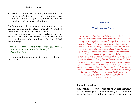iii. Events future to John's time (*Chapters 4 to 22*) – the phrase "after these things" that is used here, is used again in *Chapter 4:1*, indicating that the third part of the book begins there.

The Lord then explains to John the secret meaning of the lampstands and the stars (*verse 20*). We studied these when we looked at *verses 12 & 16*.

The Lord alone can give us revelation on the secrets of His Word. To receive such revelation, we need two indispensable qualities – the fear of God and humility.

*"The secret of the Lord is for those who fear Him … and He teaches the humble His way."*  (Psalm 25:14, 9).

Let us study these letters to the churches then in that spirit.

# <span id="page-17-0"></span>**[Chapter 4](#page-2-3)**

# **[The Loveless Church](#page-2-3)**

*"To the angel of the church in Ephesus write: The One who holds the seven stars in His right hand, The One who walks among the seven golden lampstands, says this: 'I know your deeds and your toil and perseverance, and that you cannot endure evil men, and you put to the test those who call themselves apostles, and they are not, and you found them to be false; and you have perseverance and have endured for My name's sake, and have not grown weary. But I have this against you, that you have left your first love. Remember therefore from where you have fallen, and repent and do the deeds you did at first; or else I am coming to you, and will remove your lampstand out of its place – unless you repent. Yet this you do have, that you hate the deeds of the Nicolaitans, which I also hate. He who has an ear, let him hear what the Spirit says to the churches. To him who overcomes, I will grant to eat of the tree of life, which is in the Paradise of God.'"* (Revelation 2:1–7).

#### **The Lord's Evaluation**

Although these seven letters are addressed primarily to the messengers of the churches, yet at the end of each message, we find an invitation to anyone who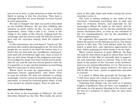has an ear to hear, to pay attention to what the Holy Spirit is saying to ALL the churches. They have a message therefore for every disciple in every church in every generation.

We saw in Chapter One that our Lord is described as the Faithful Witness. We see Him fulfilling this ministry in these letters of His. To use a modern expression, Jesus "tells it like it is". Christ is the Judge in the midst of His church, judging both the messenger and the church itself. He tells the messengers and the churches exactly what He thinks of them.

In His evaluations, the Lord doesn't "touch-up" the portraits like modern photographers do. He loves His people far too much to do that!! He knows that it is better that we deal with sin, worldliness, lukewarmness and self-centredness right now, than to have to face up with these things at His judgment-seat later. To be judged for these over there would not be profitable for us; and He has our eternal good in view. So it is good for us to pay careful attention to everything that the Lord says in these letters.

Where there is room for appreciation, the Lord expresses sincere appreciation. And where there is need for rebuke, He does not hesitate to rebuke scathingly. Cancer cannot be washed away with soap and water. It cannot be removed gently either. It has to be excised by radical surgery. Even so with sin.

#### **Appreciation Before Rebuke**

In the letter to the messenger at Ephesus, the Lord describes Himself as the One Who holds the seven stars in His right hand and walks among the seven churches (*verse 1*).

The Lord is always walking in the midst of the churches, examining everything that is said and done by everyone therein, and especially by the messengers Whom He holds in His hand. And He measures everything, not by the low standards that carnal Christians have, or even by the standard of the ten commandments, but by the plumbline of Divine righteousness.

He expresses His approval and appreciation first before He points out the failures (*verse 2*). The Divine nature is like that. The Lord always looks for that which is good first, and expresses appreciation for that, before pointing out what needs to be set right.

Man's nature however is quite different. He does not look for that which is good in others first, but for that which is bad. Man is naturally slow to appreciate and extremely quick to criticise. This is but one mark of the poison of the "Accuser of the brethren" that is in our system (*Revelation 12:11*). The more we partake of the Divine nature however, the more we will be like our Lord – quick to appreciate and slow to criticise.

It is good to follow this principle all through life: "I will never point out a fault to someone, in whom I have found nothing so far to appreciate".

Following that simple rule can lead us to greater heights of godliness than we have ever imagined. It will make us a far greater blessing in the church and far less of a nuisance to others than we have been thus far.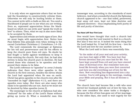It is only when we appreciate others that we have laid the foundation to constructively criticize them. Otherwise we will only be hurling bricks at them. You cannot write with a chalk on thin air. You need a blackboard if people are to see what you are writing. Even so, expressed appreciation forms the blackboard on which we can write and "speak the truth in love" to others. Then, what we say is also more likely to be accepted by them.

Appreciation and rebuke are both signs of love. But we must begin with appreciation first. Notice how Paul follows this principle even when writing to the carnal Corinthian Christians (*1 Corinthians 1:4–10*).

The Lord commends the messenger at Ephesus for his toil and perseverance and for his efforts to keep the church pure from evil men. No doubt he had fought a battle against worldliness to keep it from entering the church. Not only that, he had also striven to keep the church pure in doctrine. He had tested those who claimed to be apostles and had proved their claims to be false.

The Lord's reference to "apostles" in *verse 2* clearly indicates that there were other apostles in the church in the first century, besides the eleven whom the Lord had appointed when He was on earth. Christ has given apostles to the church even after He "ascended on high" (*Ephesians 4:11*), and there are apostles even today. But there are also many who claim to be apostles who are not. And so we must not be deceived by false apostles (*verse 2*).

The messenger in the church at Ephesus had also "endured" for the sake of the Lord's Name without giving up (*verse 3*). What a wonderful man this messenger was, according to the standards of most believers. And what a wonderful church the Ephesian church appeared to be – one that toiled, persevered, kept away evil men, kept out false doctrine and exposed deceivers – thus emphasising both purity of life and purity of doctrine.

#### **You Have Left Your First Love**

One would have thought that such a church had everything that the Lord wanted to find in a church. But alas it was not so. It lacked the main thing that the Lord looked for. It had left its first love – love for the Lord and love for one another (*verse 4*).

What the Lord said to them was essentially this:

"In the midst of all your zeal and your activity, you have lost sight of ME. You have lost that fervent devotion that you once had for Me. You have kept yourself from evil and you have steered clear of doctrinal error. But remember how you loved Me fervently when you were first converted and how you did everything out of love for Me then. Now everything has degenerated into a dry routine. You're still going to the meetings, reading your Bible and praying. But it has all become a ritual."

The church here had become like a wife who once served her husband joyfully out of love for him, but who now considers the same tasks a drudgery – because the fire of love has gone out of her marriage. In the olden days, she used to wait eagerly for her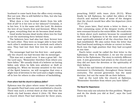husband to come back from the office every evening. But not now. She is still faithful to Him, but she has lost her first love.

What does a true husband desire from his wife first of all? Is it her love or her labours? Certainly, it is her love. It is the same with the Lord. He desires the love of our hearts first and foremost. When that is gone, everything that we do becomes dead works.

Good works become dead works when love for God is not the motivating force behind them.

The believers here had also lost their fervent love for each other. They were no longer able to bear with each other's weaknesses or to overlook each other's sins. They had lost their first love for one another too.

The messenger had lost his first love – and gradually the church too had become like its messenger.

This was not a small error. It was a great fall – for the Lord says, "Remember therefore from where you have fallen." We usually think of a believer as having fallen only when he falls into adultery or theft or smoking etc. When we become sensitive to the voice of the Spirit however, we will recognise that even a slight loss of devotion to the Lord and a slight cooling off in love for others is also evidence of backsliding.

#### *From where had the church in Ephesus fallen?*

Ephesus was the place where some 40 years earlier the apostle Paul had come and established a church. There was such a revival there at that time that the whole city had known about it (*Acts 19*). Here was a church where Paul had laboured for three years, preaching DAILY with tears (*Acts 20:31*). When finally he left Ephesus, he called the elders of the church and warned them of some of the dangers that the church would face after his departure (*Acts 20:17–35*).

Four years later, Paul wrote a letter to them – a letter containing some of the deepest truths of the new covenant found in the entire Bible. He could write to them about such matters because he considered the church at Ephesus to be the most mature and most spiritually-minded of all the churches that he had established. We also notice from the letter that Paul had found nothing to rebuke or correct in them. Such was the high position that they had occupied at one time.

Paul's letter could be called the first letter to the Ephesians. Here in *Revelation 2*, we see the second letter to the Ephesians. The story is entirely different now. A new generation had arisen in the church and they did not have the devotion or the spirituality of their fathers.

This is the sad history of almost every church and movement in Christianity, throughout these twenty centuries. The second generation has the same doctrine, but not the same life as their fathers.

And so the Lord tells the church at Ephesus, "Remember therefore from where you have fallen".

#### **The Need for Repentance**

There was only one solution for this problem. "Repent and do the deeds you did at first", says the Lord (*verse 5*).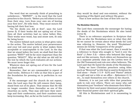The word that we normally think of preaching to unbelievers – "REPENT" – is the word that the Lord preaches to the church. "Before you tell others to turn from their sins, turn from your own sin of leaving your first love", He tells them. They must mourn for having left their first love.

"Do the deeds you did at first", says the Lord (*verse 5*). If their works did not spring out of love, then all their activities had no value before Him. Their works were wood, hay and straw now, fit only for being burnt.

The motive behind each action is what gives value to the action. The motive behind your perseverance and your toil and your purity is what makes them acceptable or unacceptable to the Lord. In the day that we stand before the Lord, we shall find that the question "WHY?" will be far more important than the question "WHAT?". Why we did what we did will be the test by which the Lord evaluates all our actions. We must never forget this.

Whatever does not spring out of love for the Lord is a dead work.

Remember, that we are commanded to repent of dead works. *Hebrews 6:1* tells us that this is part of the foundation for pressing on to perfection in our lives.

If the messenger and the church do not repent, then the Lord says that He will remove their lampstand from out of its place. That means that He will no longer consider them thereafter as one of His churches on earth. They may still have their meetings and their conferences, and their numbers may keep increasing. But, as far as the Lord is concerned, they would be dead and non-existent, without the anointing of His Spirit and without His grace.

That is how serious the loss of first love can be.

**The Nicolaitan Hierarchy**

The Lord then commends the messenger for hating the deeds of the Nicolaitans which He also hated (*verse 6*).

There is no reference anywhere in Scripture that tells us who the Nicolaitans were or what they did. So we cannot be certain about what deeds the Lord was referring to. However, the word "Nicolaitans" means (in Greek) "conquerors of the people".

If that was what the Lord meant, then it would be a reference to those who sought to "lord it over the flock" (*1 Peter 5:3*) – elders who behaved like kings and not like servants. Such elders set themselves up as a separate priestly class (as the Levites were in the Old Testament) and rule over other believers. The Lord said that He hated the deeds of the Nicolaitans.

Today we have Christian preachers using titles such as "Reverend" (a title that is used in Scripture for God alone – *Psalm 111:9* - KJV) and "Pastor" (which is a gift and not a title or an office – *Ephesians 4:11*) etc., to exalt themselves over others in the church.

However, it is not just with titles that preachers seek to rule over others. There are many who call themselves just "brothers" who dominate their fellowbelievers by their soul-power (dominant personality), their financial-power and their spiritual gifts.

All this is Nicolaitanism and it is nauseating to God.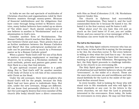In India we see the sad spectacle of multitudes of Christian churches and organisations ruled by their Western masters through money-power. Because of financial indebtedness and the obligations that have come through being invited to Western countries, many Indian believers have ended up as slaves of "the white man". Such slavish subservience of one believer to another is "Nicolaitanism" and is an abomination in God's eyes.

Consider another form of Nicolaitanism. The Roman Catholic church teaches that Mary is a mediator between Christ and man. Their priests then act as further mediators between the Roman Catholics and Mary!! But this unScriptural mediatorial attitude can be practised just as much by a Protestant pastor as by a Roman Catholic priest!

When a pastor "finds God's will" for one of his flock in matters concerning employment or marriage or whatever, he is acting as a Nicolaitan mediator. By such methods, priests and pastors gain power over their flock in a way that God detests.

To give spiritual counsel and advice is a godly thing. But to "find God's will" for another member of the body of Christ is to rob him of his connection with Christ as his Head.

Under the old covenant, there were prophets who found God's will for the people, because the Holy Spirit had not been given to individuals then. But now, under the new covenant, things are different. All can know God personally (*Hebrews 8:8–12*). In fact the Lord eagerly desires that every member of His church (His body) should have a direct connection with Him as Head (*Colossians 2:18, 19*). Nicolaitans however hinder this.

The church in Ephesus had successfully resisted Nicolaitanism. They hated it, and the Lord commended them for it because He hated it too. He hated it in the first century and He hates it still.

What about you? Do you hate this evil just as much as the Lord hates it? If not, you are unlike Christ, and you cannot be a true messenger of His. A Nicolaitan can never build the body of Christ.

**The Call to the Overcomers**

Finally, the Holy Spirit exhorts everyone who has an ear to hear, to hear what He is saying, for the message is for ALL the churches (*verse 7*). Not every believer is willing to obey what the Lord has to say – for most of them are either wanting to have their own way or wanting to please their fellowmen. Recognising this fact, the Holy Spirit proceeds to challenge individuals in the church to an overcoming life.

The Holy Spirit gives recognition here to a group of wholehearted and faithful believers whom He calls "overcomers", in the midst of a church. These are the ones who overcome sin and worldliness and who stand faithfully for the Lord in the midst of the spiritual decline around them.

In every locality, God is looking for those who will stand true to His standards and who will fight for those standards at any cost. In the letters to the seven churches, we see that the Lord is primarily interested in the overcomers. Even today, He looks for overcomers in every place. He may not find them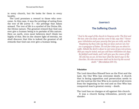in every church, but He looks for them in every locality.

The Lord promises a reward to those who overcome. In this case, it was the privilege of eating from the tree of life (*verse 7*) – the privilege that Adam missed. The tree of life is a symbol of the Divine life, the Divine nature. The greatest reward that God can ever give a human being is to partake of His nature. Here on earth, even most believers don't think too highly of this. But in the clearer light of eternity, we shall discover that this is indeed the greatest of all rewards that God can ever give a human being.

# <span id="page-23-0"></span>**[Chapter 5](#page-2-4)**

# **[The Suffering Church](#page-2-4)**

*"And to the angel of the church in Smyrna write: The first and the last, who was dead, and has come to life, says this: 'I know your tribulation and your poverty (but you are rich), and the blasphemy by those who say they are Jews and are not, but are a synagogue of Satan. Do not fear what you are about to suffer. Behold the devil is about to cast some of you into prison, that you may be tested, and you will have tribulation ten days. Be faithful until death, and I will give you the crown of life. He who has an ear, let him hear what the Spirit says to the churches. He who overcomes shall not be hurt by the second death.'"* (Revelation 2:8–11).

#### **Tribulation**

The Lord describes Himself here as the First and the Last, the One Who has overcome death. A church that is facing opposition and persecution needs to see the Lord as the One Who is in control of all events from the beginning to the end and as One Who has conquered man's greatest enemy – death.

The Lord has no charges at all against this church.

It was a church facing tribulation, poverty and slander.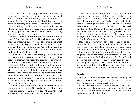Tribulation is a recurring theme in the book of Revelation – and notice that it is faced by the most faithful among God's children, and not by compromisers. In the first chapter of Revelation, we saw John undergoing tribulation. Here we see a faithful church undergoing the same. It is a church against which the Lord does not have a single charge, that is being persecuted. The worldly, compromising churches have an easy time.

All this is meant to remind us that tribulation is a part of God's perfect will for His wholehearted children. So when we ourselves are faced with the great tribulation one day, we need not think that some strange thing has befallen us. We will be treading the same pathway that God's faithful children have trodden through the centuries.

God allows the very best among His children to face tribulation. It was so in the first century. It has been so throughout these 20 centuries of churchhistory. And it will be so even at the end of time.

The best of God's children, the most faithful among them, the elite commando-troops of the Lord's army will be the ones who will be here on earth to stand as witnesses for Him in the days of the Antichrist. Every General sends his best troops to where the battle is raging the thickest. The Lord does the same too. It will be a great privilege and honour to be among those troops of the Lord.

God will certainly not take the overcomers away to heaven at a time when He needs their testimony on earth the most. He has never done that in the past and He will not do that in the future either.

The Lord's elite troops who stand up to the Antichrist in the days of the great tribulation are referred to in the book of Revelation as those "who keep the commandments of God and hold to the testimony of Jesus" (*Revelation 12:17*). They will refuse to bow down to the Antichrist or to receive his mark on their bodies. Many of them will therefore have to lay down their lives for their faith (*Revelation 13:7, 8, 15–17*). Thus they will join that select company of martyrs of all time who "did not love their lives even to death" (*Revelation 12:11*).

None of us naturally have the courage to face death for the Lord. But if God has called us to seal our witness with our blood, then we can rest assured that He will give us special grace for that when such a time comes. It was through such a special supply of grace that every Christian martyr faced death fearlessly in the past. And what God did for them He will do for us too – even for the weakest and the most cowardly among us. All we have to do is tell Him that we want to be faithful to Him at any cost. If we have the willingness, God will give us the boldness.

#### **Poverty**

The saints in the church at Smyrna were poor. Poverty is another thing that God's faithful children have faced throughout church-history.

Many Old Testament saints were rich. God had promised earthly wealth as a reward for obedience in Old Testament times, because Israel was called to possess an earthly kingdom.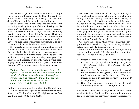But Jesus inaugurated a new covenant and brought the kingdom of heaven to earth. Now the wealth we are promised is heavenly, not earthly. That was why Jesus Himself and the apostles were all poor.

Today, there are many who are teaching that becoming wealthy is a sign of God's blessing on His children. This doctrine was first invented by preachers in the West, who used it to justify their becoming wealthy from the tithes of God's people! Christian businessmen then latched on to it as a convenient doctrine to justify their own amassing of wealth. Covetous preachers everywhere have found it to be a convenient doctrine for them as well!!

The poverty of Jesus and of the apostles should suffice to show that all such preachers have been thoroughly deceived by their own covetousness.

The believers at Smyrna were faithful to the Lord in the midst of great trials, and they were poor. The believers at Laodicea, on the other hand, were thoroughly dead, and they were materially rich. What does this prove? The answer is plain for anyone to see.

*"God has chosen the poor of this world to be rich in faith… God has chosen the foolish things of the world… God has chosen the weak things of the world… God has chosen the things that are not… that no man should boast before God."*  (James 2:5; 1 Corinthians 1:27–29).

God has made no mistake in choosing His children.

God has promised to provide all our material needs, if we seek His kingdom and His righteousness first (*Matthew 6:33*; *Philippians 4:19*).

We have seen evidence of this again and again in the churches in India, where believers who were living in abject poverty and who were heavily in debt, have been blessed financially by their heavenly Father, when they honoured Him in their lives. This is a miracle in a country like India, where there is no government-funded social security system and where unemployment is high and bureaucratic corruption rampant. But we have also seen that such believers have not become wealthy. God has met their needs. But He hasn't made them rich.

We have also seen that where believers have pursued after wealth, they have destroyed themselves spiritually (*1 Timothy 6:9, 10*).

What should a believer do if he is already wealthy – as a result of inherited family wealth or some other reason? He should obey God's Word:

- i. Recognise first of all, that ALL that he has belongs to the Lord (Study the following Scriptures: *1 Corinthians 10:26*; *1 Corinthians 4:7*; *Luke 14:33*; *John 17:10*);
- ii. Obey the Lord's command to use his wealth for the spread of the gospel, thus seeking first the kingdom of God with his money ("Use your money to make friends for eternity" – *Luke 16:9* - paraphrase);
- iii. Obey God's command to share his wealth with other needy believers (*1 Timothy 6:17–19*).

If he follows these three steps, he wont be able to stay wealthy for long. But he will become a spiritual man, for God rewards us spiritually exactly according to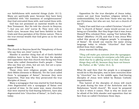our faithfulness with material things (*Luke 16:11*). Many are spiritually poor, because they have been unfaithful with "the mammon of unrighteousness" that God entrusted them with, and tested them with.

God has not promised us material wealth in the New Testament. But He told the church in Smyrna, "…but you are rich" (*verse 9*). They were rich in God's eyes, because they had been faithful in their trials and thus partaken of the Divine nature. This is the true eternal wealth that God gives us in the new covenant.

#### **Slander**

The church in Smyrna faced the "blasphemy of those who say they are Jews" (*verse 9*).

Slander is another thing that all of God's faithful children have to face. Notice here that the slander and opposition that this church was facing was from those who called themselves God's people – "those who say they are Jews, but are not, but are a synagogue of Satan" (*verse 9*).

Those Jews were religious people, who studied their Bibles (Genesis to Malachi). Yet the Lord called them "a synagogue of Satan", because they were hypocrites. That was why they persecuted the true disciples of Jesus.

Many a synagogue that was started by God-fearing Jews degenerated into a synagogue of Satan over a period of time. In the same way, many churches that were started by God-fearing believers, have also degenerated into "churches of Satan", in God's eyes, today.

Opposition for the true disciples of Jesus today, comes not just from heathen religions (which is understandable), but also from "those who say they are Christians, but who are not, but are a church of Satan".

Today if we said that a so-called Christian "church" was "a church of Satan", many would accuse us of being un-Christlike. But they forget that it was Jesus Himself Who rebuked Peter, saying "Get behind Me, Satan" (*Matthew 16:23*); and that it was Jesus Who called this group of religious people "a synagogue of Satan". He would use exactly the same strong language today to rebuke "churches" that have drifted from their calling.

Jesus warned His disciples,

*"They will make you outcasts from the synagogue; but an hour is coming for everyone who kills you to think that he is offering service to God. And these things they will do, because they have not known the Father, or Me."* (John 16:2, 3).

What He said then that the people in a synagogue would do to His disciples, was in later centuries done by "churches" too. In the middle ages, God-fearing disciples of Jesus were killed by Roman Catholic inquisitionists.

This hatred of the disciples of Jesus will reach its peak during the time of the Antichrist and the Babylonian "world church". We must be prepared to face it when it comes. That is why we must not be afraid of the little slander and opposition that we face from so-called Christians these days.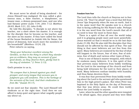We must never be afraid of being slandered – for Jesus Himself was maligned. He was called a gluttonous man, a false teacher, a blasphemer, an insane man, a demon-possessed man, and one who had Satanic power (*Luke 7:34*; *John 7:12*; *Matthew 26:65*; *Mark 3:21, 22*; *John 8:48*).

He told His disciples, "A disciple is not above his teacher, nor a slave above his master. It is enough for the disciple that he become as his teacher, and the slave as his master. If they have called the head of the house Beelzebul (a Jewish title for Satan, the prince of demons), how much more the members of his household!" (*Matthew 10:24, 25*).

Peter exhorts us saying,

*"Keep your behaviour excellent among the Gentiles, so that in the thing in which they slander you as evildoers, they may on account of your good deeds, as they observe them, glorify God in the day of visitation."* (1 Peter 2:12).

God's promise to us is,

*"No weapon that is formed against you shall prosper; and every tongue that accuses you in judgment you will condemn. This is the heritage of the servants of the Lord. And their vindication is from Me."* (Isaiah 54:17).

So we need not fear slander. The Lord Himself will vindicate us at the right time. Until then we can afford to keep quiet and ignore what ungodly people say about us.

#### **Freedom from Fear**

The Lord then tells the church at Smyrna not to fear (*verse 10*). "Don't be afraid" was a word that fell from Jesus' lips frequently when He was on earth. And it is the same word that He speaks now to a church that is facing suffering for His Name's sake. Perhaps it is the one word from the Lord's mouth that all of us need to hear the most in these days.

There is a spirit of fear all over the world today and it is gripping people more and more powerfully. Jesus warned us that it would be so in the last days (*Luke 21:26*). But He also told His disciples that they should not be affected by this spirit of fear. The sad thing is that most believers are not free from this spirit. Many believers are enslaved by the fear of what will happen in the future, fear of men, fear of sickness, fear of death and various other types of fears.

Fear is one of Satan's master-weapons, with which he enslaves many believers. It is this spirit of fear that prevents many believers from boldly testifying for the Lord in the meetings of the church and from being bold witnesses for the Lord in their places of work. Many believers confuse timidity with humility and thus Satan deceives them.

It was fear that prevented Peter from boldly testifying about the Lord to the servant-girl who questioned him in the high-priest's palace. But when Peter was baptised in the Holy Spirit on the day of Pentecost, that fear was driven away. He could then testify about the Lord boldly to anyone.

Later, when he and the other apostles were tempted to be afraid again, they prayed and they were filled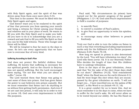with Holy Spirit again, and the spirit of fear was driven away from them once more (*Acts 4:31*).

This then is the answer: We must be filled with the Holy Spirit again and again.

God doesn't want you to be enslaved to the spirit of fear that prevents you from opening your mouth and being a witness for Christ among your friends and relatives and in your place of work. He wants to fill you with His Holy Spirit and to make you bold. All you have to do is to acknowledge that you are a coward and ask God to fill you with His Spirit so that you can be His bold witness. Those who hunger and thirst will be filled.

We will be tempted to fear far more in the days to come. So let's use every opportunity that we have now to overcome fear of every kind.

#### **Suffering According to God's Plan**

God does not protect His faithful children from suffering. He knows that suffering is necessary for our spiritual growth. And so the church in Smyrna was not spared suffering. But the Lord encouraged them saying, "Do not fear what you are about to suffer." (*verse 10*).

The Lord warned them that Satan was going to cast some of them into prison. God has given Satan the power to cast believers into prison unjustly. But we must remember that Satan can't do anything to us without first getting God's permission. And even if we are cast into prison, it will only be in order to test us (*verse 10*). God uses even imprisonment to fulfil His purposes.

Paul said, "My circumstances (in prison) have turned out for the greater progress of the gospel" (*Philippians 1:12–14*). God used Paul's imprisonment to fulfil a number of purposes:

- i. to sanctify Paul;
- ii. to convert a number of Paul's jailers;
- iii. to give Paul an opportunity to write his epistles; and
- iv. to encourage many other believers to preach fearlessly.

Truly our God is able to turn the tables on Satan in such a way that everything (including imprisonment) works only for the fulfilment of the Divine purposes (*Romans 8:28*; *Psalm 76:10*).

How long we spend in prison is also determined by the Lord. "You will have tribulation ten days", the Lord tells them (*verse 10*). It is our Heavenly Father Who decides the length of time that His children have to undergo tribulation.

Even in the days of the great tribulation, Jesus said that "for the sake of the elect those days shall be cut short." (*Matthew 24:22*). "God remembered Noah" when the flood was on the earth (*Genesis 8:1*). And He wont forget His elect when they are encompassed by the great tribulation on earth. "I will not forget you… I have inscribed you on the palms of My hands", is His Word to us (*Isaiah 49:15, 16*).

It is a great comfort for us to know this. And we must remember it in the days to come, when we have to suffer for the Lord's sake. He will never allow us to be tested beyond our ability. He has His Hand on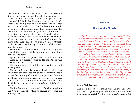the control knob and He will turn down the pressure (that we are facing) when the right time comes.

"Be faithful until death, and I will give you the crown of life", is the Lord's exhortation (*verse 10*). We should be willing even to die if necessary, in order to stand true to the Lord. Don't follow the example of believers who compromise their witness just for the sake of a little earthly gain – some honour or promotion or money etc. How will such believers stand true to the Lord in the day when we wont be allowed to buy even our necessary food without the mark of the Antichrist (*Revelation 13:16, 17*)? Surely such "believers" will accept "the mark of the beast" in order to survive.

Remember that the crown of life is a far greater reward than any earthly honour and even than physical life itself.

Again the Lord recognises that not all have ears to hear such a message. And so He calls those who have ears to hear, to hear.

The overcomers will not be hurt by the second death (*verse 11*).

The second death is eternal death – being cast away from the presence of God for all eternity, into a lake of fire. It is significant that the promise of escaping the second death is made only to the overcomers. That's why it is so important to overcome sin – for death is the end-result of sin (as *James 1:15* makes clear).

The fundamental message of the Spirit throughout the New Testament is that we should overcome sin in every form.

# <span id="page-29-0"></span>**[Chapter 6](#page-2-5)**

# **[The Worldly Church](#page-2-5)**

*"And to the angel of the church in Pergamum write: The One who has the sharp two-edged sword says this: 'I know where you dwell, where Satan's throne is; and you hold fast My name, and did not deny My faith, even in the days of Antipas, My witness, My faithful one, who was killed among you, where Satan dwells. But I have a few things against you, because you have there some who hold the teaching of Balaam, who kept teaching Balak to put a stumbling block before the sons of Israel, to eat things sacrificed to idols, and to commit acts of immorality. Thus you also have some who in the same way hold the teaching of the Nicolaitans. Repent therefore; or else I am coming to you quickly, and I will make war against them with the sword of My mouth. He who has an ear, let him hear what the Spirit says to the churches. To him who overcomes, to him I will give some of the hidden manna, and I will give him a white stone, and a new name written on the stone which no one* 

*knows but he who receives it.'"* (Revelation 2:12–17).

#### **Light in Pitch Darkness**

The Lord describes Himself here as the One Who has the sharp two-edged sword of the Spirit – God's living and powerful Word (*verse 12*; *Ephesians 6:17*).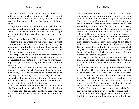This was the sword with which He overcame Satan in the wilderness, when He was on earth. This sword still comes out of His mouth today. And this is the weapon that we need for our battles against Satan as well.

Pergamum was a city which was so evil that the Lord says that Satan had his earthly headquarters there. This is mentioned twice in *verse 13*. And right in the midst of that city the Lord had placed His church.

The Lord tells them, "I know where you dwell". He knows exactly where we are living, and in what circumstances we are living. And He can keep us pure and triumphant, even if Satan has his earthly throne right where we live. With the sword of the Spirit we too can overcome.

No lampstand ever complains that the surroundings are too dark for it to shine in. The brightness of a lampstand has nothing to do with its surroundings. Its light depends solely on the amount of oil it contains.

It is exactly the same with any local church. The surroundings may be evil. Satan may have his throne in that city. But if the church is filled with the oil of the Holy Spirit, the light will shine brightly. In fact, the darker the surroundings, the more brightly any light will be seen in such surroundings! The stars are seen at night – not during the day.

The Lord commends this church for holding fast His Name and not denying the faith even in times of persecution. He specially mentions Antipas, who was a faithful witness who laid down his life for his faith.

Antipas was one who stood for God's truth, even if it meant having to stand alone. He was a man of conviction and not one who sought to please men. Those who know God do not have to look around to see how many others believe what they believe. They are willing to stand alone for the Lord, if necessary against everyone else in the whole world. Antipas was a man like that. And as a result he was killed.

If he had been a man-pleaser, he could have escaped death. He was killed because he stood uncompromisingly for God's revealed truth. People probably called him narrow-minded, stubborn, hard-to-get-alongwith and insane. But it made no difference to him. He just stood true to his Lord, standing against all sin, worldliness, compromise, disobedience to God's Word and against the devil. Here was a man who was a threat to Satan's kingdom.

Perhaps it was because Antipas was in Pergamum that Satan decided to place his throne there. What a man Antipas must have been if even Satan dreaded him!

God needs people like Antipas in every part of the world today. The time is soon coming when we will have to pay a price for our faith. All of Babylonian Christendom around us will compromise and bow to the Antichrist. Will we stand firm in that day, like Antipas did? Or will we bow the knee to Satan to preserve our life? Are we convinced that it is worth losing our life for the sake of God's truth?

Today, God is testing us through little trials. It is only if we are faithful in these little testings that we can be faithful in the bigger trials that will come in the future. Satan should consider you such a threat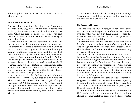to his kingdom that he moves his throne to the town where you live.

#### **Decline after Antipas' Death**

The sad thing was that the church at Pergamum lost out spiritually, after Antipas died. Antipas was probably the messenger of the church when he was alive. When he died, someone else took over and the church went downhill. This is the sad history of many churches.

When Paul was leaving Ephesus, he told the elders there that he knew that after his departure, the church there would compromise and backslide (*Acts 20:28–31*). As long as Paul was there he fought against worldliness and sin and kept the spirit of the antichrist at bay. But there wasn't anyone strong enough in Ephesus to do that after Paul left. And so the wolves got in among the flock and devoured the sheep freely, while the elders stood by and watched!

Satan changed his tactics at Pergamum, after Antipas died. The fact that Satan's throne is in a place does not necessarily mean that he will always attack the church with persecution.

He is described in the Scriptures, not only as a roaring lion (*1 Peter 5:8*), but also as a wily serpent who transforms himself into an angel of light *Revelation 12:9*; *2 Corinthians 11:14*). He has found through the centuries that he accomplishes his purposes far better by corrupting the church with worldliness from within than by persecuting it from without.

This is what he finally did at Pergamum through "Balaamism" – and thus he succeeded, where he did not succeed with persecution!

#### **The Teaching of Balaam**

The Lord tells the church here, "You have some there who hold the teaching of Balaam" (*verse 14*). Balaam was one who was hired by King Balak to curse the Israelites. He was the first of the "hired preachers" that we read of in the Bible.

Christendom is flooded with these hirelings today, for whom preaching is a means of earning a living. God is against such hirelings, who pretend to be shepherds of God's flock, but who are interested only in fleecing the sheep.

Balaam did not go when Balak called him at first, because God specifically told him not to go. But when Balak offered a higher pay and greater honour, then Balaam "sought God's will again" – just like many do today, in similar circumstances !! God allowed Balaam to go after money, and to destroy himself thereby. And God allows many Christian preachers today also to follow in Balaam's footsteps and finally to come to Balaam's end.

When Balaam saw that he could not curse Israel, he suggested to Balak that the Israelites be corrupted by tempting them to immorality and idolatry (*Numbers 24 & 25*). Thus Balaam succeeded in getting God Himself to punish them.

That was how Satan succeeded at Pergamum too. He knew he could not overcome the church, until the church became worldly in some way. So he corrupted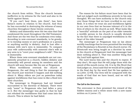the church from within. Thus the church became ineffective in its witness for the Lord and also in its battle against Satan.

"If you can't beat them, join them", has been Satan's motto in relation to the church. And thus he has succeeded in destroying the witness of many churches throughout these twenty centuries.

Idolatry and immorality were the two sins that God condemned the most throughout the Old Testament. And these are the two that he condemns even today. According to new-covenant standards, to be greedy, or to worship money or one's profession or a person or anything earthly is idolatry. And to lust after a woman with one's eyes is immorality. To compare your wife unfavourably with someone else's wife in any area is to "covet your neighbour's wife". This too is immorality.

Where these new-covenant standards are not con– sistently preached in a church, hidden idolatry and immorality will prevail among its members and the church will soon become like the one at Pergamum.

When worldliness overtook the church at Pergamum, the sad thing is that the messenger of the church just watched it happen and did nothing about it. Many elders are just as powerless today against worldliness that has come in like a flood into their churches.

The messenger in Pergamum had not himself succumbed to the doctrine of Balaam. There were only "some" in Pergamum who had fallen a prey to it. But the messenger was guilty in that he had not rebuked the worldliness that had come into the church. This is where he had failed.

The reason for his failure must have been that he had not judged such worldliness severely in his own thoughts. We can have authority in the church only over those things that we have crucified in our own flesh. It is when we treat sin and worldliness lightly in our own lives that we become tolerant of it in the lives of others in the church as well. What looks like a "merciful" attitude on the part of an elder towards a worldly person in his church is usually dictated by the fact that there is unjudged worldliness in the heart of the elder himself.

The messenger at Pergamum was so lax about worldly teachings that he even permitted the teaching of the Nicolaitans to flourish in his church (*verse 15*). Priestcraft was being taught as a doctrine by some in the church at Pergamum! And the messenger had done nothing about it. That was another thing that the Lord held against him.

The Lord warns him and the church to repent. If they don't, He says that He will judge them with the sword of His mouth (*verse 16*). It is by His Word that God judges us. Jesus said that we would all be judged in the final day by the word that He has spoken to us (*John 12:48*). Our lives will be compared with the words of God that we have heard, and we will be judged thereby.

#### **The Call to the Overcomer**

The overcomer is then promised the reward of the hidden manna and a white stone with a new name written on it (*verse 17*).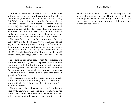In the Old Testament, Moses was told to hide some of the manna that fell from heaven inside the ark, in the most holy place of the tabernacle (*Exodus 16:33, 34*). While manna that was kept by the Israelites in their tents began to stink within 24 hours (*Exodus 16:19, 20*), the "hidden manna" in the ark remained fresh throughout the 40 years that the Israelites wandered in the wilderness. Such is the power of God's presence in the most holy place to keep us fresh, if we live there before His face at all times.

The most holy place can be entered only through the rent veil of the flesh (*Hebrews 10:20*). This is the way that Jesus inaugurated through His flesh for us. If we walk on this new and living way, we can receive the hidden manna that God gives – revelation from His Word and fellowship with Him. And our lives will always carry the fragrance of the freshness of the Lord.

The hidden precious stone with the overcomer's name written on it (*verse 17*) speaks of an intimate relationship with the Lord such as a bride has with her bridegroom. This is the spiritual equivalent of the engagement ring (with an expensive precious stone and a name engraved on it) that worldly men give their fiancees.

The bridegroom calls the bride by an intimate name that no-one else knows (*verse 17*). Bridal intimacy with the Lord is a reward that is promised to all who overcome.

The average believer has a dry and boring relationship with Christ, because he is not radical in his hatred of sin and worldliness. But the true overcomer enters into a spiritually ecstatic relationship with his Lord such as a bride has with her bridegroom with whom she is deeply in love. This is the type of relationship described in the "Song of Solomon" – and only an overcomer can understand it fully and experience the reality of it.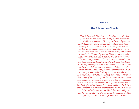#### <span id="page-34-0"></span>**[Chapter 7](#page-2-6)**

# **[The Adulterous Church](#page-2-6)**

*"And to the angel of the church in Thyatira write: The Son of God who has eyes like a flame of fire, and His feet are like burnished bronze, says this: 'I know your deeds and your love and faith and service and perseverance, and that your deeds of late are greater than at first. But I have this against you, that you tolerate the woman Jezebel, who calls herself a prophetess, and she teaches and leads My bondservants astray, so that they commit acts of immorality and eat things sacrificed to idols. And I gave her time to repent; and she does not want to repent of her immorality. Behold I will cast her upon a bed of sickness, and those who commit adultery with her into great tribulation, unless they repent of her deeds. And I will kill her children with pestilence; and all the churches will know that I am He who searches the minds and hearts; and I will give to each one of you according to your deeds. But I say to you, the rest who are in Thyatira, who do not hold this teaching, who have not known the deep things of Satan, as they call them – I place no other burden on you. Nevertheless what you have, hold fast until I come. And he who overcomes, and he who keeps My deeds until the end to him I will give authority over the nations; and he shall rule them* 

*with a rod of iron, as the vessels of the potter are broken to pieces, as I also received authority from My Father; and I will give him the morning star. He who has an ear, let him hear what the Spirit says to the churches.'"* (Revelation 2:18–29)*.*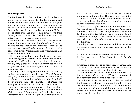#### **A False Prophetess**

The Lord says here that He has eyes like a flame of fire (*verse 18*). He searches the hidden thoughts and motives of the heart – and so He does not judge as men do, who only look at the outward appearance. His feet are like burnished bronze – which means that He believes in severe judgment on sin. If there is one clear message that comes down to us from Calvary's cross, it is this: God hates sin and will judge it severely wherever it is found.

The Lord knew the deeds, love, faith and perseverance of the messenger and the church at Thyatira. And He notices that while the quantity of those deeds had increased considerably (*verse 19*), their quality had come down. Compromise and worldliness had come into the church.

This compromise had come about mainly because the messenger had permitted a woman (symbolically called "Jezebel") to influence the church in an evil, worldly way (*verse 20*). She had pretended to be a prophetess, and the messenger of the church had been deceived.

Although Christ has given prophets to the church, He has not given any prophetesses (See *Ephesians 4:11, 12*). Women can be anointed by the Spirit to prophesy in the meetings of the church (*Acts 2:17*; *1 Corinthians 11:5*). The daughters of Philip are examples of those who did that (*Acts 21:9* - KJV).

Men and women can prophesy – that is, share God's Word to the encouragement and edification of the church (*1 Corinthians 14:3*). All believers are encourage to seek for this gift (*1 Corinthians 14:1*;

*Acts 2:18*). But there is a difference between one who prophesies and a prophet. The Lord never appointed a woman to be a prophetess under the new covenant – the reason being that God never intended a woman to have authority over men.

There were prophetesses under the old covenant. We read of five of them in the Bible, with Anna being the last (*Luke 2:36*). They all spoke the word of the Lord with authority. Deborah is one example of such a prophetess (*Judge 4*). But under the new covenant, authority in the church is always invested by the Lord in men.

Paul gives us two reasons why God does not allow a woman to exercise any authority over men in the church:

- i. She was created after man to be his helper;
- ii. She was deceived by Satan first (*1 Timothy 2:12–14*).

A woman is more prone to deception by Satan than a man is. This is one reason why Christ has not set any women-teachers in the church either.

Jezebel, however, called herself a prophetess. And the messenger of the church at Thyatira was so weak and spineless that he could not silence her.

In a home, if the man who should be the head of the house, is weak and effeminate, his wife will take over the leadership of the home. This will be true in a church too. When powerful women see that the elders in a church are weak, they will begin to assert themselves in the church.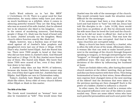God's Word exhorts us to "act like MEN" (*1 Corinthians 16:13*). There is a great need for that exhortation, for many elders today have just about as much backbone as a jellyfish, when it comes to silencing powerful women! They are like King Ahab who was so scared of his wife Jezebel, that he allowed her to do whatever she liked in his kingdom – even to the extent of murdering innocent, God-fearing people (*1 Kings 21*). Ahab was the head of Israel only in name. Jezebel actually ran the kingdom. Many church-elders function exactly like Ahab too!

Elijah, however, was a fearless man of God who stood against all of Jezebel's false prophets and slaughtered every last one of them (*1 Kings 18:40*). That's why Jezebel hated Elijah. And she feared him too. There were 7000 people in Israel at that time who did not bow down to Jezebel's idols. God Himself had said so (*1 Kings 19:18*). But Jezebel never feared any of them. She feared only Elijah. She knew that those 7000 were scared of her, even if they didn't bow down to her idols.

A Jezebel today does not fear 99.9% of believers, because she knows that those believers cannot stop her, even if they don't agree with her. Jezebels fear only Elijahs. And Elijahs are rare in Christendom today.

Today's Jezebels hate Elijah-like elders and love Ahab-like elders. Every elder of every church follows either Elijah or Ahab in this matter.

#### **The Wife of the Elder**

The Greek word translated as "woman" here can also be translated as "wife". This would mean that Jezebel was the wife of the messenger of the church. This would certainly have made the situation more difficult for the messenger.

If the messenger had been a true disciple of the Lord and had learnt to "hate" his wife (as Jesus had told His disciples to do – *Luke 14:26*), there would have been no problem at all. But he obviously loved his wife more than he loved the Lord and the church. And so he did not want to offend her. And so he let her have her way in the church. That was how the church at Thyatira was corrupted. And that is how many churches are corrupted today.

Many a church has been ruined by a Jezebel, who is often the wife of one of the weak, effeminate elders. A woman like that can seek to make herself prominent in the meetings of the church through frequent speaking in tongues, or through interpreting her own "tongues", or through long prayers or in other crude, unBiblical ways. She may also seek to change the decisions of the elders by influencing her husband at home.

There are foolish elders who, after having discussed church matters at the elders' meeting, then go home and discuss these matters with their wives. Then being brainwashed at home by their wives, these effeminate men express their changed views at the next meeting of the elders!! And the decisions that were taken in the previous meeting are then changed!! Such is the power of a hidden Jezebel to influence a church!

In other cases, the Jezebel could be a woman who has acquired influence over one of the elders in some soulish way. There are some elders' wives who have such powerful personalities and such soul-power that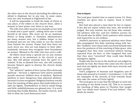the other men in the church (including the elders) are afraid to displease her in any way. In some cases, even her own husband is frightened of her.

It will be impossible to build the body of Christ in any place, if the elders in the church there, allow a woman to have power over them in any way.

The wife of an elder must be an example as one with "a meek and a quiet spirit", taking extra care to hide herself at all times. She must not be an Assistant Pastor or Song leader or Assistant Administrator (as many women are), but a hidden helper to her husband and not one who seeks to run the church from behind the scenes. Praise God that there are such wives too, who are real helpers to their elderhusbands, because they recognise their boundaries as women. Blessed is the elder who has such a wife.

All elders must keep a special eye on any woman who seeks to be prominent in the church in any way. She will almost certainly have the spirit of a Jezebel. If she is allowed free rein, she will certainly become Satan's agent to destroy the church slowly but surely.

The "adultery" spoken of here (*verse 20*) is obviously spiritual – because a righteous God cannot possibly punish innocent children born of adultery. Spiritual adultery is more dangerous than physical adultery, because it is less recognized. Religious harlotry results from the teaching of false grace that leads believers to take sin lightly. Disobedience to God in small things and little unfaithfulnesses are glossed over. It is such teaching that builds Babylon, the harlot church. And this is what the Lord denounces here.

### **Time to Repent**

The Lord gave Jezebel time to repent (*verse 21*). Even Jezebels are given time to repent. Such is God's mercy.

But God also placed a time limit for her to repent. If she did not repent within that time, she would be judged. Not only Jezebel, but all those who committed adultery with her, and her children (*verses 22, 23*) would also be killed. God's patience with sinners and hypocrites is not endless.

Jezebel's partners in spiritual adultery were those who propagated this false teaching along with her. Her "children" were those half-converted hybrids who were the products of this teaching of false grace, who imagined that they were converted without having repented from sin first, or who imagined that now that they were "converted" they could take fleshly indulgence lightly.

People who live in sin in the world are not judged so quickly by God. But those who come into the church and treat sin lightly are dealt with more severely and more quickly.

God's judgment of Ananias and Sapphira and of those who sinned in Corinth (*1 Corinthians 11:29, 30*) are examples of the severity of God towards those who take the name of Christ lightly.

The Lord goes on to say that He will give to each one according to his deeds (*verse 23*). This is to counter the teaching of false grace in Thyatira that taught that "our deeds won't matter if we just believe". Our deeds do matter.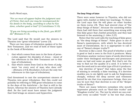God's Word says,

*"For we must all appear before the judgment seat of Christ, that each one may be recompensed for his deeds in the body, according to what he has done, whether good or bad"* (2 Corinthians 5:10).

*"If you are living according to the flesh, you MUST die"* (Romans 8:13).

The Lord said that He would cast the sinners in Thyatira into "great tribulation" (*verse 23*).

There are two types of tribulation spoken of in the New Testament, and we read of both of these types in the book of Revelation:

- i. that which comes from men in the form of persecution against the disciples of Jesus – (most of the references in the New Testament are to this type of tribulation);
- ii. that which comes from God in the form of judgment "on every soul of man who does evil" – (*Romans 2:9* & *Revelation 2:22* are the only two references to this type of tribulation).

God threatened to cast the unrepentant sinners of Thyatira into great tribulation. But this could not possibly be referring to THE great tribulation to come in the days of the Antichrist – for that is still in the future, whereas the sinners of Thyatira have already died. So the Lord must have meant the judgment that God brings on sinners and hypocrites.

# **The Deep Things of Satan**

There were some however in Thyatira, who did not agree with Jezebel or follow her teachings. To these, the Lord says that He will place no other burden on them (*verse 24*). They had steered clear of "the deep things of Satan", because the anointing within them had told them that something was wrong with this false grace that Jezebel preached; and they had listened to the anointing (*1 John 2:27*).

Notice that the Lord calls the teaching of false grace as "the deep things of Satan". False grace is one of Satan's masterpieces, with which he has deceived most of Christendom. So it is appropriate to call it one of "Satan's deeper truths"!!

Doctrine is like a seed. The proof of whether a seed is good or bad is seen in the fruit it produces. Many Christians analyse various types of seeds (doctrines) under their theological microscopes and pronounce some as bad and some as good. But that's not the way to find out the quality of a seed. It is better to sow the seed and to see what type of fruit it produces.

Any doctrine of "grace" that takes away the fear of sinning is certainly a false teaching. If a doctrine enables you to sin lightly and to ask for forgiveness cheaply, without the deep sorrow and vehement hatred for sin that true repentance brings, then you can be sure that that doctrine is one of the "deeper truths of Satan"!

There are many believers nowadays who mouth impressive phrases such as "End-time truths" and "Kingdom truths" etc. The test by which we can evaluate every so-called "truth" is the test that Jesus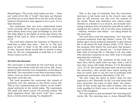Himself gave: "The truth shall make you free … from sin" (*John 8:32–36*). A "truth" that does not liberate you from sin in your daily life is not the truth of God, however Scriptural it may appear to be to you. It is a false doctrine.

One indication that you have understood God's truth correctly will be that you experience more and more liberty from every type of bondage in your life. The Holy Spirit is the Spirit of truth and "where the Spirit of the Lord is, there is liberty" (*2 Corinthians 3:17*).

The Lord then exhorts the remnant in Thyatira to hold fast to what they have – that is, to "the true grace of God" (*1 Peter 5:12*). We need to hold fast to this, because Satan would like to snatch it away from us. We are commanded to hold fast to it until Jesus comes (*verse 25*).

#### **The Call to the Overcomer**

The overcomer is described by the Lord here as one who keeps His deeds until the end (*verse 26*). Jesus' deeds are His victories over temptation, in the days of His flesh. The overcomer is one who overcomes temptation, even as Jesus overcame, and who endures in this path until the end.

The Lord promises the overcomer the reward of authority over the nations in the future (*verse 26*). This is not a domineering over others, as we understand authority in the world today. The expression "He shall rule them" (*verse 27*) actually means "He shall shepherd them" (the word "rule" here comes from a Greek word meaning "to shepherd").

This is the type of authority that the overcomer exercises in his home and in the church now, and that he will exercise one day over the nations of the world. Those who domineer over others today, whether in a family or in a church, are actually exercising a Satanic form of authority and will be unfit to shepherd the nations. All of us who have authority – fathers, mothers and elders – are being tested by the Lord now.

The Lord then uses the expression, "As I also have received authority from My Father" (*verse 27*). The Father gave Jesus authority primarily to give eternal life to all whom He had chosen (*John 17:2*). This is the purpose with which the Lord gives His messengers authority in the church too – to lead others to take hold of eternal life (*1 Timothy 6:12*). Any elder who exercises authority in any other way is actually misusing his authority.

Those who reject this authority of the Lord over their lives will be dealt with one day, with a rod of iron that Jesus will wield (*Psalms 2:7–9*; *Revelation 12:5*; *19:15*). The Lord will share that rod of iron with the overcomer, who would have learnt during his time on earth, how to use the rod of authority with gentleness and firmness (*Revelation 2:26, 27*).

"He who rules his spirit is better than he who captures a city" (*Proverbs 16:32*). It is only those who have overcome the lusts in their flesh, the attractions of this world and the wiles of Satan, who are truly qualified in God's eyes to rule the nations one day in His kingdom.

The overcomer is also promised "the morning star" (*verse 28*). The morning star is Jesus Himself (See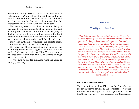*Revelation 22:16*). Jesus is also called the Sun of righteousness Who will burn the evildoers and bring healing to the nations (*Malachi 4:1, 2*). The world can see Him only as the Sun of righteousness, but the overcomers will see Him as the morning star.

The morning star is seen just before the rising of the sun. In the last moments of this age, at the end of the great tribulation, while the world is lying in darkness, the last trumpet will sound, and the Lord Himself will descend from heaven with a shout. The overcomers of all generations will then be taken up to meet Him in the air to welcome Him back to earth. Then they will see Him as the morning star.

The Lord will then descend to the earth as the Sun of righteousness to judge and heal this sin-sick world. And every eye will see Him. The overcomers will also come down with Him at that time to reign with Him on earth.

He who has an ear let him hear what the Spirit is saying (*verse 29*).

# <span id="page-40-0"></span>**[Chapter 8](#page-2-7)**

# **[The Hypocritical Church](#page-2-7)**

*"And to the angel of the church in Sardis write: He who has the seven Spirits of God, and the seven stars says this: 'I know your deeds, that you have a name that you are alive, and you are dead. Wake up, and strengthen the things that remain,* 

*which were about to die; for I have not found your deeds completed in the sight of My God. Remember therefore what you have received and heard; and keep it and repent. If therefore you will not wake up, I will come like a thief, and you will not know at what hour I will come upon you. But you have a few people in Sardis who have not soiled their garments; and they will walk with Me in white; for they are worthy. He who overcomes shall thus be clothed in white garments; and I will not erase his name from the book of life, and I will confess his name before My Father, and before His angels. He who has an ear, let him hear what the Spirit says to the churches.'"*  (Revelation 3:1–6)*.*

#### **The Lord's Opinion and Man's**

The Lord refers to Himself here as the One who has the seven Spirits of God, or the sevenfold Holy Spirit. We saw the meaning of this in Chapter One. He also has the seven stars. He expects each star (messenger)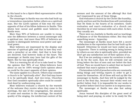in His hand to be a Spirit-filled representative of His in the church.

The messenger in Sardis was one who had built up a tremendous reputation before others as a spiritual man. But the Lord's opinion of him was the exact opposite of that of his fellow-believers in Sardis. This shows how carnal and gullible most believers in Sardis were.

More than 90% of believers are unable to recognise the difference between a carnal messenger and a spiritual one. And more than 99% of believers are unable to distinguish between soul-power and spiritual power.

Most believers are impressed by the display and exercise of spiritual gifts and that is how they evaluate a preacher or an elder. And that is how they are deceived. God however looks at the heart. The messenger at Sardis may have had the gifts of the Spirit. But he was spiritually dead.

This is a warning for all of us to take heed to: That the opinion that 99% of our fellow-believers have about us can be 100% wrong! God's opinion about us could be the exact opposite of their opinion.

The same applies to a church. Others may consider a church to be "spiritually alive". But God may know it to be spiritually dead. And vice-versa. Churches that God considers spiritually alive could be considered dead by undiscerning men.

Most believers evaluate a church by the warmth of the welcome they receive when they come to the meetings, the size of the congregation, the amount of noise and emotion in the meetings, the musical quality of the singing, the intellectual content of the sermon and the amount of the offering!! But God isn't impressed by any of these things.

God evaluates a church by the Christ-like humility, purity and love and the freedom from self-centredness that He finds in the hearts of its members. God's evaluation and man's evaluation of a church can therefore be at total variance with each other. In fact, they usually are.

There were no Jezebels in Sardis and no teachings of Balaam or of the Nicolaitans either. But they had something worse – hypocrisy.

The messenger at Sardis must have felt a secret satisfaction in the reputation that he had built up for himself. Otherwise he would not have ended up as a hypocrite. There is nothing wrong in being known by others as one who is spiritually alive, provided we don't get any satisfaction out of their opinion of us.

But if we are seeking a name for ourselves in what we do for the Lord, then we will certainly end up living before the face of men and not before the face of God. Then we would have to admit that we haven't realised that man's opinion is worthless.

Christendom is full of preachers who are constantly doing things and writing reports in order to get a name for themselves. All of these will end up like the messenger in Sardis. And they will be judged by the Lord in the final day, because their works were not perfect before God. It is impossible for our works to be perfect before God if our motive is to impress men.

The messenger at Sardis was also fast asleep spiritually.

Jesus warned His disciples of the great need of being alert and praying, in order to be ready for His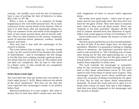coming – for worldly cares and the love of mammon have a way of putting the best of believers to sleep (See *Luke 21:34–36*).

When a man is asleep, he is unaware of things happening in the real world around him. He is more conscious of the unreal world of his dreams. This is how it is with those who are spiritually asleep too. They are unaware of the real world of the kingdom of God, of lost souls around them and of eternal realities. They are alive however to the unreal, temporary world of material riches, pleasure, comfort, earthly honour and fame.

That was how it was with the messenger of the church in Sardis.

The Lord exhorts him to wake up – in other words to give up the unreal world of his dreams (the world of materialism) – and to strengthen the few things in his life that were sinking towards spiritual death, but which had not yet died (*verse 2*). The embers had not died out completely. But he had to "fan them to a flame" soon, or they would die out completely (*2 Timothy 1:6* - AMP).

#### **Perfect Works in God's Sight**

The Lord tells him that his works were not perfect in God's sight (*verse 2* - KJV). Many believers are afraid of the word "perfection". But here we see that the Lord expected this messenger's works to be perfect before God.

Spiritual perfection is a vast subject. But what it means here is that this elder's works were not done with singleness of heart to secure God's approval alone.

His works were good works – that's how he got a name that he was spiritually alive. But they were not done for the glory of God. They were done to impress men. And so they were all dead works. There was "iniquity in his holy activities" (*Exodus 28:38*). He had to cleanse himself from this filthiness of spirit, before God could approve of him (*2 Corinthians 7:1*).

Good works done to obtain the honour of men are dead works.

The first step to perfection is to do everything before the face of God. If we don't begin here, we wont get anywhere. Whether it is praying or fasting or helping others or whatever, the important question that we need to ask ourselves is: "Am I thinking now of some man seeing me do this and appreciating me, or am I doing this before God's face for His glory alone?" A wrong motive is what corrupts many good deeds and makes them imperfect in God's eyes.

The Lord reminds the messenger to remember what he has received and heard through the years and to obey those exhortations (*verse 3*). The Lord expects more from those to whom more is given. This messenger had heard much about perfection and about the necessity of doing everything for the glory of God. But he had not taken those exhortations seriously. To know the truth and not to obey it is to build one's house on sand. One day it will collapse. And that was what happened to the messenger and the church at Sardis.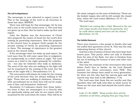#### **The Call to Repentance**

The messenger is now exhorted to repent (*verse 3*). This is the message of the Lord to all churches in these last days: REPENT.

There was still hope for this messenger, for he was still a star in the Lord's hand (*verse 1*). The Lord had not given up on him. But he had to wake up first and repent.

John the Baptist was the forerunner of Christ who prepared the nation of Israel for the Lord's first coming by preaching repentance. Now the prophets in the church have to prepare God's people for the second coming of Christ by preaching repentance to them. The message of repentance is the greatest need in the church today.

If the messenger does not wake up and repent, the Lord says that He will come upon him in judgment, as unexpectedly as a thief comes at night. The Lord comes as a thief in the night primarily for unbelievers – but also for believers who walk in darkness. The sons of the day who are walking in the light will not be surprised by the coming of the Lord, but the sons of the night will (*1 Thessalonians 5:4, 5*).

The overcomers will always be ready for the coming of the Lord because they are always walking in the light. Those who are walking in darkness, however, with unconfessed sin in their lives will not be ready, even if they call themselves "believers".

*Revelation 3:3* indicates clearly that those believers (even if they are messengers in a church) who are spiritually asleep and who do not repent will be surprised by the Lord when He comes. They will be in the same category as the sons of darkness. These are the foolish virgins who will be left outside the closed door, when the Lord comes (*Matthew 25:10–13*). The Lord says,

*"Behold I am coming like a thief. Blessed is the one who stays awake and keeps his garments, lest he walk about naked and men see his shame."* (Revelation 16:15).

#### **The Faithful Remnant**

There were however a few people in Sardis who had not soiled their garments (*verse 4*). This was the only redeeming feature of this church.

God has a list of names of those who have kept their hearts pure. This purity refers not only to freedom from the sins of the flesh, but also to freedom from the sin of seeking the honour of men and other sins of the spirit.

This was the remnant of the overcomers who lived before God's face in Sardis. As the Lord Himself pointed out, these overcomers were FEW. This remnant has always been small in every generation, for there are few who find the narrow gate and the narrow way that lead to life (*Matthew 7:14*).

The Lord says that these few are worthy and that therefore they will walk with Him in white (*verse 4*). These are the ones who had obeyed the Lord's exhortation in

Luke 21:36 (AMP): *"Keep awake then and be attentive at all times, praying that you may have*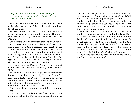*the full strength and be accounted worthy to escape all these things and to stand in the presence of the Son of man."*

They were accounted worthy. And so they will walk in the white garments of the bride on the weddingday of the Lamb.

All overcomers are then promised the reward of being clothed in white garments (*verse 5*). This indicates clearly that only overcomers will form the bride of Christ.

Overcomers are also promised that their names will not be erased from the Lamb's book of life (*verse 5*). This makes it clear that a person's name can be in the book of life and then be erased from it. The promise given to the overcomer here would be meaningless, if such a danger does not even exist. The plain teaching of Scripture is that believers who live after the flesh WILL DIE SPIRITUALLY (*Romans 8:13*). They will lose the salvation that they once had.

The Lord said to Moses, "Whoever has sinned against Me, I will blot him out of my book" (*Exodus 32:33*).

In *Psalm 69:25* we read of a prophecy concerning Judas Iscariot that is quoted by Peter in *Acts 1:20*. On reading further in *Psalm 69*, we see a prophetic reference there to Judas Iscariot's name being blotted out of the book of life (*verse 28*). His name was once in that book and then it was erased.

One has to be an overcomer to retain one's name there.

The Lord also promises to confess the overcomer's name before the Father and before His angels. This is a reward promised to those who unashamedly confess His Name before men (*Matthew 10:32*; *Luke 12:8*). The Lord places great value on our publicly confessing His name before our relatives, friends, neighbours and colleagues at work. Many believers are unfaithful here. And thereby they prove that they are not overcomers.

What an honour it will be for our name to be publicly confessed by the Lord in that final day. Even if we have to bear shame and persecution for the Lord's sake, every day for a hundred years on earth, it will still be worth it all, if the final reward is that the Lord proudly acknowledges us before the Father and His holy angels one day. One word of approval from His precious lips will erase from our minds the memories of a lifetime of suffering and ridicule.

Those who have ears to hear will take heed to what the Spirit is saying (*verse 6*).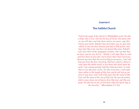#### <span id="page-45-0"></span>**[Chapter 9](#page-2-8)**

# **[The Faithful Church](#page-2-8)**

*"And to the angel of the church in Philadelphia write: He who is holy, who is true, who has the key of David, who opens and no one will shut, and who shuts and no one opens, says this: 'I know your deeds. Behold I have put before you an open door which no one can shut, because you have a little power, and have kept My word, and have not denied My name. Behold I will cause those of the synagogue of Satan, who say that they are Jews, and are not, but lie – behold, I will make them to come and bow down at your feet, and to know that I have loved you. Because you have kept the word of My perseverance, I also will keep you from the hour of testing, that hour which is about to come upon the whole world, to test those who dwell upon the earth. I am coming quickly; hold fast what you have, in order that no one take your crown. He who overcomes, I will make him a pillar in the temple of My God, and he will not go out from it any more; and I will write upon him the name of My God, and the name of the city of My God, the new Jerusalem, which comes down out of heaven from My God, and My new name. He who has an ear, let him hear what the Spirit says to the churches.'"* (Revelation 3:7–13)*.*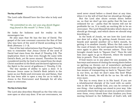#### **The Key of David**

The Lord calls Himself here the One who is holy and true.

*"He committed no sin, nor was any deceit (hypocrisy) found in His mouth"* (1 Peter 2:22).

He looks for holiness and for reality in His messengers too.

He also says that He has the key of David. The gospel of the new covenant concerns the Son of God who was born of the seed of David according to the flesh (*Romans 1:1–3*).

One of the last exhortations that Paul gave Timothy was to remember that Jesus Christ of the seed of David had risen from the dead (*2 Timothy 2:8*). The implication there is that even though He came with David's flesh, yet He never sinned. Therefore He was considered worthy by God to be raised from the dead. Christ manifest in the flesh and declared righteous by the Spirit is the secret of godliness (*1 Timothy 3:16*).

The key speaks of ability to open a door. It is because Jesus came in David's flesh (which is the same as our flesh) and overcame sin and Satan, that He has been able to open a way for us to walk in. Jesus is the Forerunner and Example for all who want to overcome.

#### **The Key to Every Door**

The Lord also describes Himself as the One who can now open or shut any door. If we are overcomers, we

need never stand before a closed door at any time, when it is the will of God that we should go through.

But the Lord also shuts certain doors before us, so that we don't go into paths that He has not ordained for us – paths that He knows will not be profitable for us. It is really an exciting life to be an overcomer. The Lord Himself decides which doors we should go through, and which doors we should stop knocking at.

In the book of Jonah, we see how the Lord shut one door (of a ship, by getting Jonah thrown overboard) and opened another (of a fish's mouth, by getting it to swallow Jonah). When the fish came to the coast of Israel, the Lord opened the fish's mouth once again to place His servant ashore. Thus God brought Jonah back to "Square One". Then He told him once again to go to Nineveh, where He wanted him to preach. Then Jonah went.

If God wants us in any place for any purpose, He has ways and means of closing the wrong doors before us (getting us thrown out of somewhere perhaps!) and of opening the right doors in front of us. He even has means of transporting us back to "Square One" in our lives, so that we don't miss His best! What He did for Jonah, He will do for us too. He will do even more.

The key to every door is in His hand. If you are a wholehearted disciple of the Lord with no ambition in life but to glorify God, you can be certain of one thing – that nothing can stand in your way. Like automatic doors that open as soon as a person comes near them, every closed door that hinders you from moving forward in the fulfilment of God's will, will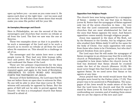open up before you – as soon as you come near it. He opens each door at the right time – not too soon and not too late. He will also close those doors that would make you miss His perfect will for your life.

#### **An Exemplary Messenger and Church**

Here in Philadelphia, we see the second of the two messengers and churches that receive no rebuke at all from the Lord. The first we saw was the one at Smyrna.

These two examples show us that it is possible to be such a messenger of the Lord and to be such a church as to receive no rebuke at all from the Lord when He examines us. This should be a challenge to all of us.

The messenger and the saints here were a weak people (*verse 8*). They had very little human influence and power. But they had obeyed God's Word and confessed the Name of the Lord.

These are two primary requirements for the days in which we live – and that is why we find them being repeated again and again in the book of Revelation: OBEDIENCE TO GOD'S WORD AND HOLDING FORTH THE TESTIMONY OF JESUS.

Because of their faithfulness, the Lord says that He has set before them an open door to witness for Him. No one will be able to shut that door (*verse 8*). Their witness will naturally be opposed by Satan. But the gates of Hell will not be able to prevail against this church – for this is a triumphant church that Satan himself is afraid of.

#### The Faithful Church

#### **Opposition from Religious People**

The church here was being opposed by a synagogue of Satan – similar to the one that was in Smyrna (*verse 9*). Notice that the synagogue of Satan opposed only two of the seven churches in Asia – the very two that the Lord commends unreservedly. Those churches that are most wholehearted for God are the ones that Satan opposes the most. And Satan's opposition comes mainly through religious people.

Jesus was opposed in the days of His flesh, not by the Romans or the Greeks, but by religious Jews who studied their Bibles daily! It will be the same for the body of Christ. Our main opposition will come from those who claim to be Christians, but who don't preach freedom from sin's power.

The Lord says that He will make the synagogue of Satan recognise in an obvious way that He is with the church at Philadelphia. The agents of Satan will be compelled to bow down before the church (*verse 9*). God has destined that Satan should be crushed under the feet of the church (*Romans 16:20*). We must never forget this that God is always on our side against Satan. So we need never fear Satan or his agents at any time.

Jesus prayed that the world would know that His disciples were loved by the Father (*John 17:23*). This prayer was to be answered in Philadelphia. The synagogue of the Jews would be made aware of the fact that the Lord loves the church and that He would stand by them (*verse 9*). God has wonderful ways of confounding our enemies and of making them aware that we are the objects of His love and care!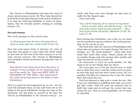The church in Philadelphia had kept the word of Jesus' perseverance (*verse 10*). They had obeyed the word of the Lord and endured to the end in obedience. It is only by enduring faithfully in times of temptation, that we become perfect, lacking in nothing (*James 1:4*).

#### **The Lord's Promises**

The Lord's promise to this church was,

*"I will keep you from the hour of testing that is about to come upon the whole world"* (verse 10).

Here the Lord warns them in advance of a time of trial that was going to come upon the whole world at that time (at the end of the first century or in the early second century). The church in Philadelphia was promised Divine protection during that time of testing.

How did the Lord "keep them from that hour of testing"? It was certainly not by rapturing them out of the world. No. They were KEPT SAFE IN THE MIDST OF THE TRIAL. They experienced the Lord's protecting hand in the midst of their tribulations.

This is a word of encouragement for us too – for the Lord will similarly keep us also safe from evil in the midst of the great tribulation during the time of the Antichrist. He will keep us exactly as He kept the church in Philadelphia in the second century – on earth, safe from evil, even though we may have to suffer for His Name's sake. Jesus has said,

*"You will be hated by all on account of my Name … but do not fear those who kill the body … for the very hairs of your head are all numbered … Not a hair of your head will perish"* (Matthew 10:28, 30; Luke 21:18).

Even during the tribulation, not a hair on our head can be touched by anyone without the Lord's permission. So we can be at rest.

The Lord then tells the church at Philadelphia that those who are going to be tested during "the hour of testing", are "the earth-dwellers" – those who have made this earth their home, whose minds are set on earthly things, and who pursue after wealth and seek the honour of men (*verse 10*).

No overcomer is such an earth-dweller, for His mind is set on the things that are above.

The Lord goes on to tell the church here to hold fast to what they have until He comes back to earth, so that they may not lose their crown (*verse 10*). It is possible therefore for someone else to get the crown that God meant for you.

God has planned a task and a crown for you. But if you are unfaithful in fulfilling that task, you won't get that crown. God will raise up someone else to fulfil that task and he will get the crown that was meant for you. This is a real possibility. So we must be watchful.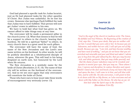God had planned a specific task for Judas Iscariot, just as He had planned tasks for the other apostles of Christ. But Judas was unfaithful. So he lost his crown. Someone else (perhaps Paul) fulfilled the task that Judas was to have fulfilled. That person will now get Judas' crown in addition to his own.

We have to hold fast what God has given us. We cannot afford to take things easy at any time.

The overcomer will be made a permanent pillar in the church (*verse 12*). What that means is that he will be a support to others in the church, bearing their burdens. He will be a spiritual "father" to others. In every church there is a great need for such pillars.

The overcomer will have the name of God, the name of the New Jerusalem and the Lord's new name written on his forehead. In other words, he will be publicly identified as a wholehearted disciple of Jesus, wherever He goes. This will lead to his being despised on earth now, but honoured by the Lord when He returns.

The New Jerusalem is a symbolic name for the bride of Christ (*Revelation 21:9, 10*). The name of that city will be written on the forehead of the overcomers. And so we see once again that only overcomers will constitute the bride of Christ.

Those who have ears to hear must take these words of encouragement very seriously (*verse 13*).

# <span id="page-49-0"></span>**[Chapter 10](#page-2-9)**

# **[The Proud Church](#page-2-9)**

*"And to the angel of the church in Laodicea write: The Amen, the faithful and true Witness, the Beginning of the creation of God, says this: 'I know your deeds, that you are neither cold nor hot; I would that you were cold or hot. So because you are lukewarm, and neither hot nor cold, I will spit you out of My mouth. Because you say, "I am rich, and have become wealthy, and have need of nothing," and you do not know that you are wretched and miserable and poor and blind and naked. I advise you to buy from Me gold refined by fire, that you may become rich, and white garments, that you may clothe yourself, and that the shame of your nakedness may not be revealed; and eyesalve to anoint your eyes, that you may see. Those whom I love, I reprove and discipline; be zealous therefore and repent. Behold I stand at the door and knock; if any one hears My voice and opens the door, I will come in to him, and will dine with him, and he with Me. He who overcomes, I will grant to him to sit down with Me on My throne, as I also overcame and sat down with My Father on His throne. He who has an ear, let him hear what the Spirit says to the churches.'"*  (Revelation 3:14–22)*.*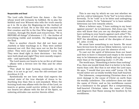#### **Respectable and Dead**

The Lord calls Himself here the Amen – the One whose word will certainly be fulfilled. He is also the faithful and true Witness who tells the truth exactly as it is. He is also the Beginning (or the Author) of the creation of God. He is the One who created the first creation and He is the One Who began the new creation, through His death and resurrection. "He is BEFORE all things" (*Colossians 1:17*) – the Author of everything visible and invisible, the Beginning and the End.

Here is another church that did not have any Jezebels or false teachings in it. They were neither immoral nor evil. But they were not on fire for God either. They were just plain "lukewarm" (*verse 16*). They were dead right in their doctrines – but they were both dead and right! They were morally respectable – and spiritually dead!

The Lord wants our hearts to be on fire at all times – aflame with a fervent love for Him and for other believers.

"Fire shall be kept burning continually on the altar; it is not to go out", was the old-covenant Law (*Leviticus 6:13*).

Symbolically we see here what God expects the normal state of the true disciple of Jesus to be. Anything less than this is sub-standard. When the burning bush was aflame with the fire of the Lord, no insects or germs could survive within it. And when our hearts are aflame with the fire of the Spirit, no unloving attitudes can survive therein either.

This is one way by which we can test whether we are hot, cold or lukewarm: To be "hot" is to love others fervently. To be "cold" is to be bitter and unforgiving towards others. To be "lukewarm" is to have neither bitterness nor love towards others.

When a believer says, "I have nothing in my heart against anyone", he is lukewarm. Did Jesus say, "All men will know that you are my disciples when you have nothing in your hearts against each other"? No. The absence of evil attitudes towards each other is NOT the identifying mark of the disciples of Jesus (cf. *John 13:35*).

We must have something in our hearts. We must have fervent love for all our fellow-believers. Love is a positive virtue and not just the absence of evil.

To cast out the spirit of bitterness from our heart and then to leave it cleansed and empty is the surest way to be lukewarm and to finally end up in a worse state than at the beginning (*Luke 11:24–26*).

The world says, "Something is better than nothing". If so, then one would think that it is better to be lukewarm than cold. But that is not what the Lord says. He says, "I would that you were cold" (*verse 15*). He would rather see us totally worldly than half-hearted.

The lukewarm, compromising Christian does a lot more damage to the cause of Christ on earth than the worldly unbeliever. The unbeliever does not take the name of Christ, and so his worldliness cannot be a hindrance to the gospel. But a compromising, half-hearted Christian takes the name of Christ and disgraces that Name among the heathen by his worldliness.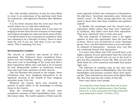The cold, worldly unbeliever is also far more likely to come to an awareness of his spiritual need than the lukewarm, self-righteous Pharisee (See *Matthew 21:31*).

It is for these reasons that the Lord says that He would rather see us cold than lukewarm.

In practical terms this means that if you have no longing to be free from the love of money or from anger and impure thoughts (to take just three areas of sin), it would be better if you remained an unbeliever than one claiming to be a disciple of Jesus. There is more hope for you if you are cold than if you are lukewarm. This is amazing, but true.

#### **Not Knowing One's Condition**

The church at Laodicea was proud of what it possessed. The "believers" there considered themselves rich and needing nothing – perhaps because they were rich in knowledge of the truth and had a good reputation before men and had a lot of money as well. Respectable leaders in Laodicean society may also have been members of their church.

Like the Pharisee who prayed in the temple, these Christians may have imagined themselves to be spiritual, because of the wealth of their religious activities (*Luke 18:9–14*).

Whatever the reason, there was certainly no poverty of spirit either in the messenger or among those in the church.

Both the messenger and the church were completely unaware of their backslidden state – just like many today. The Lord's opinion of them was the exact opposite of their own evaluation of themselves. He calls them, "wretched, miserable, poor, blind and naked" (*verse 17*). What strong adjectives the Lord used to show them that their condition was pathetic indeed!

In Sardis, the messenger and the church had a reputation before others that they were "spiritual". In Laodicea, they didn't even have that reputation. They were "spiritual" only in their own eyes.

The vast majority of believers have a far higher opinion of their own spirituality than the Lord has of them. This is true of believers in every Christian group. Very, very few believers have a true and realistic estimate of themselves – because very, very few are ruthlessly honest with themselves.

It is more than likely that YOU yourself have a far higher opinion of your spirituality than the Lord has of you. Humble yourself and cry out to the Lord to give you His evaluation of your life. Why not put this book down for a few moments and make that prayer right now….

The believers at Laodicea may at one time have been on fire like those in Philadelphia. But they had backslidden and become careless about their spiritual life. They still held the doctrines of the Spirit-filled life. But they had lost the reality of that life.

Peter says about such people,

*"It would have been better for them not to have known the way of righteousness, than having known it, to turn away from the holy commandment delivered to them."* (2 Peter 2:21).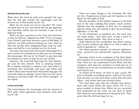#### **Vomited Out by the Lord**

What does the Lord do with such people? He says that He will spit (vomit) the messenger and the church out of His mouth (*verse 16*).

What do we vomit out of our mouths? We vomit out food that we ate, but which did not get digested, and therefore which did not become a part of our physical body.

When we give ourselves to the Lord, the intention is that we become "digested by Him" ("It is no longer I but Christ") and thus become a part of His Body. If however, we still continue seeking our own, then we will end up like that undigested food; and our ultimate end will be to be vomited out by the Lord.

You may even have been the Lord's messenger for a time, and yet be vomited out so that you are no longer His messenger. We can be "in Christ" at one time and be vomited out later so that we are out of Him.

However, the Lord still had hope for this messenger and for this church. This is amazing indeed. He is always seeking to redeem even that which is wretched and miserable and poor and blind and naked. What men would have discarded long ago, the Lord still seeks to salvage. That's why even the worst among us can have hope. We can all be salvaged – if we repent.

# **A Price to be Paid**

The Lord advises the messenger and the church to BUY gold, white garments and eyesalve from Him (*verse 18*).

There are some things in the Christian life that are free. Forgiveness of sins and the baptism in the Spirit are free gifts of God.

But the parables of the hidden treasure in the field and of the man seeking fine pearls, teach unmistakably that the kingdom of God can be obtained only by those who are willing to give up everything. (*Matthew 13:44–46*).

To the Christians at Laodicea too, the Lord says the same thing – that they have to pay a price to obtain spiritual wealth. They have to buy it.

Gold refined by fire symbolises the divine nature that is pure, without any alloy in it. This is what we need to partake of – within us.

The white garment speaks of outward righteousness – purity in our external life, speech, behaviour etc.

Eyesalve refers to the revelation of the Holy Spirit that enables us to see everything from God's point of view. Thus we can understand God's Word and His purposes, and also see ourselves as God sees us. It enables us to see the worthlessness of earthly wealth and honour too.

To obtain all of these, we have to pay a price. We have to forsake everything and be "sold-out" for God. If we do that, we can have these riches that the Lord offers – real riches that have eternal value.

The Lord then says that He rebukes and disciplines only those whom He loves (*verse 19*). It is a great comfort to know this. When we are corrected and chastened by the Lord, we can bear in mind that these are but indications of His great love. They prove that He still has hope for us.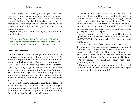If on the contrary, when you sin, you don't feel rebuked in your conscience, and you are not chastened by the Lord, then you are truly on dangerous ground. Perhaps the Lord has given up trying to change you. And maybe the reason is that you have persistently refused to hear His gentle voice of correction in the past.

Repent then, and turn to Him again, before it is too late altogether.

*"If you are without discipline, of which ALL (true sons) have become partakers, then you are illegitimate children and not sons."* (Hebrews 12:8).

#### **The Call to Repentance**

The Lord exhorts the messenger and the church at Laodicea to "burn with zeal and repent" (*verse 19*). Even our repentance can be sluggish. We must be zealous and wholehearted about our repentance too.

The Lord is now standing outside the church, knocking, trying to get in (*verse 20*). In the meetings of the church however, it is "Business As Usual" with praise and prayer and preaching going on with monotonous regularity. But the congregation is blissfully ignorant of the fact that the Lord Himself is on the outside!

Don't ever belong to a church where the Lord Himself is outside the door. For if He is on the outside, you have no business to be inside yourself!! You should be outside too. If the bridegroom is standing outside, the bride should be with her bridegroom.

The Lord now calls individuals in the church to open their hearts to Him. How can they do that? The context makes it clear that it is by burning with zeal and repenting that they can open the door. The door is not the door of our intellect or the door of our emotions. It is the door of our will. When the will is yielded, then the Lord enters in and fellowships (dines) with us in our spirit.

Again there is the call to overcome. This time He specifies that we can overcome EVEN AS HE ALSO OVERCAME in the days when He was on earth (*verse 21*).

Jesus was the first Overcomer. He is our Forerunner, Who has already overcome the world, the flesh and the Devil. Thus He was exalted to sit down with the Father on His throne. Now we can overcome all of these just as He did. If we do, we too can sit with Him on His throne one day, as His Bride.

"If we endure, we shall also reign with Him." (*2 Timothy 2:12*).

Finally, we hear the same word again at the end: "He who has an ear, let him hear what the Spirit says to the churches" (*verse 22*).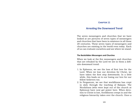#### <span id="page-54-0"></span>**[Chapter 11](#page-2-10)**

# **[Arresting the Downward Trend](#page-2-10)**

The seven messengers and churches that we have looked at are pictures of seven types of messengers and churches that have been in existence in all these 20 centuries. These seven types of messengers and churches are existing in the world even today. Each of us can evaluate ourselves and see where we stand.

#### **The Backslidden Messengers and Churches**

When we look at the five messengers and churches that are rebuked by the Lord we see in them a definite downward trend:

- 1. In Ephesus, we see the loss of first love for the Lord. When we lose our devotion for Christ, we have taken the first step downwards. In a little while, this leads on to our losing our love for our fellow-believers too.
- 2. In Pergamum, we see that worldliness has crept in slyly through the teaching of Balaam. The Nicolaitans (who were kept out of the church at Ephesus) have now got power here. When devotion to Christ is lost, worldliness creeps in and the religious hierarchy takes over the church. Once a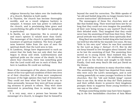religious hierarchy has taken over the leadership of a church, Babylon is built easily.

- 3. In Thyatira, the church has become thoroughly worldly, and as a result religious harlotry is rampant. A woman now has power to influence the church, and is proclaiming false grace and counterfeiting the gifts of the Spirit too (prophecy in particular).
- 4. In Sardis, we see hypocrisy. Sin is covered up and man's opinion is valued more than God's. The messenger of the church is spiritually asleep (unaware of spiritual realities). The form of godliness however hides from the eyes of men the spiritual death that the Lord sees in him.
- 5. In Laodicea, things have degenerated to such an extent that the body has not only died, but also begun to decay and stink. Lukewarmness and spiritual pride are the cause of the death. In the above four churches, there was something good that the Lord could still see in each of them. But here in Laodicea He could see nothing.

None of the messengers of the above churches were aware of the true spiritual condition of their own lives or of their churches. All of them were complacent because of the high opinion they had of themselves. They could not hear what the Lord had to say to them personally, because they were all busy preparing sermons to preach to others. They were more interested in preaching than in seeing their own need.

It is very easy, once a person has become the messenger of a church, to imagine that he himself is beyond the need for correction. The Bible speaks of "an old and foolish king who no longer knows how to receive instruction" (*Ecclesiastes 4:13*).

The messengers of these five churches were all like that foolish king. Their word had been law for so long that they could not even imagine the possibility of their now being wrong in any matter!! Such was their deluded state. They imagined that they could never lose the anointing of God from their lives. Their proud attitude was what made them spiritually deaf.

King Saul was another foolish king who had started out well but who fell by the wayside very soon. He was "little in his own eyes" when he was first anointed by the Lord as king (*1 Samuel 15:17*). But he did not keep himself in low thoughts about himself. And so he lost the anointing of God. The anointing then moved on to young David. Saul realised this, but he refused to face up to it. He stubbornly continued to sit on his throne and sought to kill David. Finally, God took away Saul's life and put David on the throne.

We see similar situations in many churches today. The anointing of the Spirit has departed from many who were once the Lord's messengers, and is now resting powerfully on some younger brothers in their churches. But the "old and foolish kings" cannot bear to see this. So what do they do? Their jealousy and their selfish desire to preserve their kingdoms prompts them to suppress those young brothers in one way or the other.

Perhaps something similar may have been happening in the five backslidden churches of Asia Minor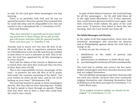as well. So the Lord gave those messengers one last warning.

There is no partiality with God and He has no special favourites. Even the apostle Paul realised that he could fall away and be disqualified if he was not careful to live a disciplined life (*1 Corinthians 9:27*). Paul told Timothy,

*"Pay close attention to yourself and to your teaching; persevere in these things; for as you do this you will insure salvation both for yourself and for those who hear you."* (1 Timothy 4:16).

Timothy had to watch over his own life first of all. He would then be able to experience salvation from un-Christlikeness in his own life and thus be enabled to lead others to such a salvation as well. This is the way the Lord has appointed for all His messengers in every church.

Paul told the elders of the church in Ephesus also to watch their own lives first of all and then the lives of their flock (*Acts 20:28*).

This is the responsibility of every messenger of the Lord – to preserve his own life first of all in purity and under the constant anointing of the Spirit. "Let your clothes be white all the time, and let not oil be lacking on your head." (*Ecclesiastes 9:8*).

The Lord had wanted to speak to these messengers directly. But they did not have listening ears. Finally He had to speak to them through an apostle. Thank God that there was at least a John who could hear the Lord's voice clearly.

In spite of their failures however, the Lord had hope for all five messengers – for He still held them all in His right hand (*Revelation 2:1*). If they repented, they could become glorious brothers once again. And their churches could radiate the glory of the Lord once more. If however they failed to heed this last warning, then the Lord would cast them off.

#### **The Faithful Messengers and Churches**

In the midst of all this degeneration, there were two wonderful messengers and churches (at Smyrna and at Philadelphia) against whom the Lord had no charge at all.

In them we see the virtues of:

- i. faithfulness in the midst of poverty and opposition;
- ii. perseverance in obedience to God's Word; and
- iii. proclaiming the testimony of Christ unashamedly.

The Lord had to rebuke and correct the five backslidden messengers and their churches because they had not judged themselves.

The two faithful messengers and their churches did not need any rebuke, because they were constantly judging themselves and cleansing themselves from all filthiness of the flesh and spirit (*2 Corinthians 7:1*).

God's Word says,

*"If we judged ourselves rightly, we should not be judged."* (1 Corinthians 11:31).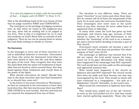# *"It is time for judgment to begin with the household of God … it begins with US FIRST."* (1 Peter 4:17).

This is the identifying mark of the true house of God that we judge ourselves FIRST and CONSTANTLY.

The Lord gives us the privilege of judging ourselves now, so that when we stand at His judgment-seat one day, there will be nothing left to be judged in our lives. That is why it is important for us to read and meditate on God's Word with an attitude of selfjudgment. Thus we too can be among those in whom the Lord finds nothing to rebuke or correct.

#### **The Overcomers**

In the messages to every one of these churches is a call to individual believers to overcome. Overcomers are those who arrest the downward trend (that we have seen above) in their own life, and thus radiate the glory of the Lord. They recognise that they have the same flesh with the same evil tendencies to backslide that are found in others around them. But they stand against those tendencies and crucify them in the power of the Spirit.

What should overcomers do today? Should they stay in the dead churches that they find themselves in, or should they come out?

In the letters to the seven churches in "Revelation", we find no command to the overcomers to leave their local churches. But that was because there was ONLY ONE CHURCH in each locality. And the Lord had not yet removed the lampstand from any of them.

The situation is very different today. There are many "churches" in our towns and cities these days. But we cannot call all of these the lampstands of the Lord, for in most cases the Lord never founded them. Their messengers were never stars in the Lord's hand at any time, because He never called them or appointed them to eldership.

In many other cases the Lord has given up both messenger and church long ago, because of their refusal to repent. So we need discernment to see whether the "anointing" of the Lord is on a messenger and a church before deciding to become a part of that church.

Overcomers must certainly not become a part of any local "church" that does not proclaim "the whole purpose of God" (*Acts 20:27*).

The messenger at Ephesus was warned that if he did not repent, the Lord would remove the lampstand out of its place (*Revelation 2:5*). What would have happened if the messenger had NOT repented? The Lord would have set him aside as His messenger and appointed someone else.

What would have happened if the church at Ephesus also had NOT repented? The church would have been set aside and thus become one that was unrecognised by the Lord. They would no doubt still have continued as a congregation – but only as a Babylonian "church" thereafter, in the Lord's eyes.

What would the overcomers in Ephesus have done then?

They would have pulled out of the old "church" as soon as the Lord pulled out of it. And they would have started gathering separately. Those who had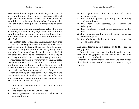eyes to see the moving of the Lord away from the old system to the new church would then have gathered together with these overcomers. That new gathering would then have become the church at Ephesus – for the Lord would have placed His lampstand in their midst.

If at any time this new church now refused to walk in the ways of God or to judge itself, then the Lord would have had to remove the lampstand from their midst and start all over again. There is no partiality with God.

The history of the Christian church shows how this process has been repeated over and over again in every part of the world, during these past twenty centuries. This is why we now find so many Babylonian "churches" in every place. It can become so bad at one stage that there is no lampstand left in a city at all. Every so-called church can be a Babylonian one.

We must in any case, never stay in a "church" after the Lord Himself has pulled out of it. Our loyalty must always be to the Lord and to His church – not to "the church we grew up in". Human attachments can hinder us from moving on with the Lord.

From our study of these seven churches, we have seen clearly what it is that the Lord looks for in a church. And so, overcomers must seek to fellowship with a church in their locality :

- i. that burns with devotion to Christ and love for one another;
- ii. that preaches a living faith in God;
- iii. that emphasises total obedience to all of God's commandments;
- iv. that proclaims the testimony of Jesus unashamedly;
- v. that stands against spiritual pride, hypocrisy and worldliness;
- vi. that exposes false apostles, false teachers and false gifts;
- vii. that constantly preaches the crucifixion of the flesh;
- viii. that encourages all believers to judge themselves constantly; and
- ix. that challenges believers to be overcomers, like Jesus Himself was.

The Lord desires such a testimony to His Name in every place.

To build such churches, the Lord needs messengers who are gripped by the truths that we have considered in this book.

May the Lord find many such men and many such churches in every part of the world in these last days. Amen.